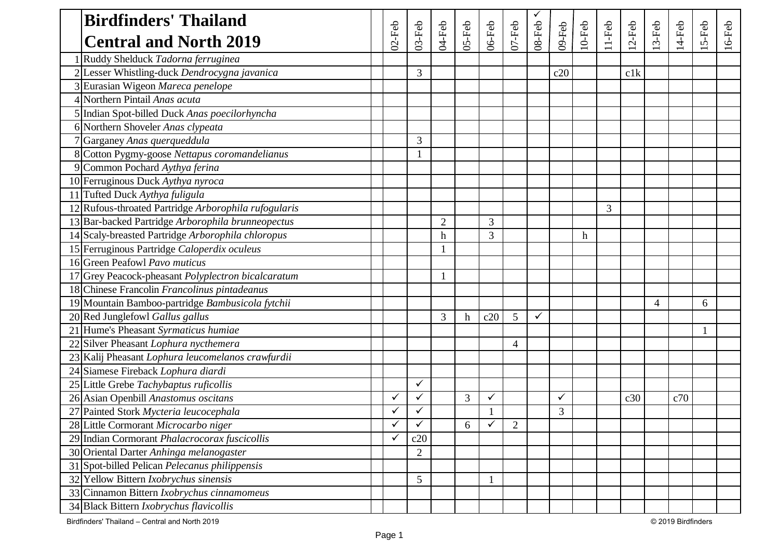| <b>Birdfinders' Thailand</b>                         |              |                |                |                  |              |            |        |        |           |          |           |         |          |          |           |
|------------------------------------------------------|--------------|----------------|----------------|------------------|--------------|------------|--------|--------|-----------|----------|-----------|---------|----------|----------|-----------|
| <b>Central and North 2019</b>                        | $02$ -Feb    | $03$ -Feb      | 04-Feb         | $OS-Feb$         | 06-Feb       | $07$ -Feb  | 08-Feb | 09-Feb | $10$ -Feb | $11-Feb$ | $12$ -Feb | $3-Feb$ | $14-Feb$ | $15-Feb$ | $16$ -Feb |
| Ruddy Shelduck Tadorna ferruginea                    |              |                |                |                  |              |            |        |        |           |          |           |         |          |          |           |
| 2 Lesser Whistling-duck Dendrocygna javanica         |              | 3              |                |                  |              |            |        | c20    |           |          | c1k       |         |          |          |           |
| 3 Eurasian Wigeon Mareca penelope                    |              |                |                |                  |              |            |        |        |           |          |           |         |          |          |           |
| 4 Northern Pintail Anas acuta                        |              |                |                |                  |              |            |        |        |           |          |           |         |          |          |           |
| 5 Indian Spot-billed Duck Anas poecilorhyncha        |              |                |                |                  |              |            |        |        |           |          |           |         |          |          |           |
| 6 Northern Shoveler Anas clypeata                    |              |                |                |                  |              |            |        |        |           |          |           |         |          |          |           |
| 7 Garganey Anas querqueddula                         |              | 3              |                |                  |              |            |        |        |           |          |           |         |          |          |           |
| 8 Cotton Pygmy-goose Nettapus coromandelianus        |              |                |                |                  |              |            |        |        |           |          |           |         |          |          |           |
| 9 Common Pochard Aythya ferina                       |              |                |                |                  |              |            |        |        |           |          |           |         |          |          |           |
| 10 Ferruginous Duck Aythya nyroca                    |              |                |                |                  |              |            |        |        |           |          |           |         |          |          |           |
| 11 Tufted Duck Aythya fuligula                       |              |                |                |                  |              |            |        |        |           |          |           |         |          |          |           |
| 12 Rufous-throated Partridge Arborophila rufogularis |              |                |                |                  |              |            |        |        |           | 3        |           |         |          |          |           |
| 13 Bar-backed Partridge Arborophila brunneopectus    |              |                | $\overline{2}$ |                  | 3            |            |        |        |           |          |           |         |          |          |           |
| 14 Scaly-breasted Partridge Arborophila chloropus    |              |                | $\mathbf h$    |                  | 3            |            |        |        | h         |          |           |         |          |          |           |
| 15 Ferruginous Partridge Caloperdix oculeus          |              |                |                |                  |              |            |        |        |           |          |           |         |          |          |           |
| 16 Green Peafowl Pavo muticus                        |              |                |                |                  |              |            |        |        |           |          |           |         |          |          |           |
| 17 Grey Peacock-pheasant Polyplectron bicalcaratum   |              |                |                |                  |              |            |        |        |           |          |           |         |          |          |           |
| 18 Chinese Francolin Francolinus pintadeanus         |              |                |                |                  |              |            |        |        |           |          |           |         |          |          |           |
| 19 Mountain Bamboo-partridge Bambusicola fytchii     |              |                |                |                  |              |            |        |        |           |          |           | 4       |          | 6        |           |
| 20 Red Junglefowl Gallus gallus                      |              |                | 3              | $\boldsymbol{h}$ | c20          | 5          | ✓      |        |           |          |           |         |          |          |           |
| 21 Hume's Pheasant Syrmaticus humiae                 |              |                |                |                  |              |            |        |        |           |          |           |         |          |          |           |
| 22 Silver Pheasant Lophura nycthemera                |              |                |                |                  |              | 4          |        |        |           |          |           |         |          |          |           |
| 23 Kalij Pheasant Lophura leucomelanos crawfurdii    |              |                |                |                  |              |            |        |        |           |          |           |         |          |          |           |
| 24 Siamese Fireback Lophura diardi                   |              |                |                |                  |              |            |        |        |           |          |           |         |          |          |           |
| 25 Little Grebe Tachybaptus ruficollis               |              | ✓              |                |                  |              |            |        |        |           |          |           |         |          |          |           |
| 26 Asian Openbill Anastomus oscitans                 | ✓            | $\checkmark$   |                | 3                | ✓            |            |        |        |           |          | c30       |         | c70      |          |           |
| 27 Painted Stork Mycteria leucocephala               | ✓            | ✓              |                |                  |              |            |        | 3      |           |          |           |         |          |          |           |
| 28 Little Cormorant Microcarbo niger                 | $\checkmark$ | $\checkmark$   |                | 6                | $\checkmark$ | $\sqrt{2}$ |        |        |           |          |           |         |          |          |           |
| 29 Indian Cormorant Phalacrocorax fuscicollis        | ✓            | c20            |                |                  |              |            |        |        |           |          |           |         |          |          |           |
| 30 Oriental Darter Anhinga melanogaster              |              | $\overline{2}$ |                |                  |              |            |        |        |           |          |           |         |          |          |           |
| 31 Spot-billed Pelican Pelecanus philippensis        |              |                |                |                  |              |            |        |        |           |          |           |         |          |          |           |
| 32 Yellow Bittern Ixobrychus sinensis                |              | 5              |                |                  |              |            |        |        |           |          |           |         |          |          |           |
| 33 Cinnamon Bittern Ixobrychus cinnamomeus           |              |                |                |                  |              |            |        |        |           |          |           |         |          |          |           |
| 34 Black Bittern Ixobrychus flavicollis              |              |                |                |                  |              |            |        |        |           |          |           |         |          |          |           |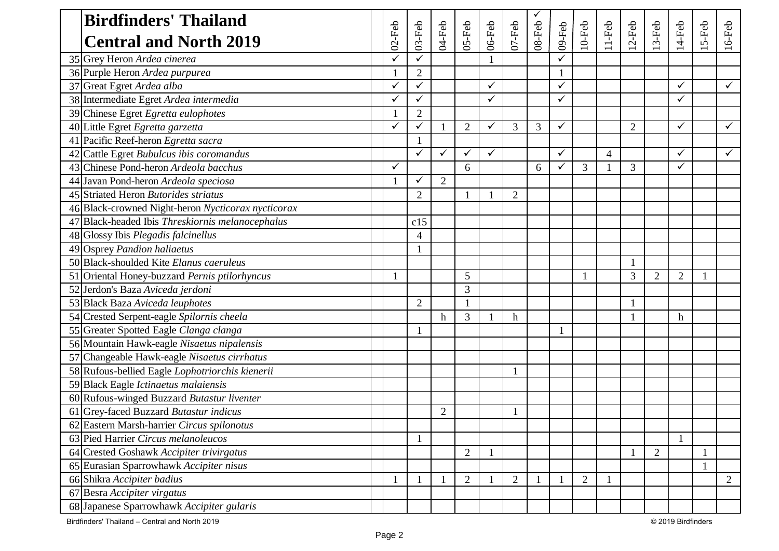| <b>Birdfinders' Thailand</b>                       |                          |                |                |                |              |                |        |              |                |                |                |                |                |              |                |
|----------------------------------------------------|--------------------------|----------------|----------------|----------------|--------------|----------------|--------|--------------|----------------|----------------|----------------|----------------|----------------|--------------|----------------|
| <b>Central and North 2019</b>                      | $02$ -Feb                | 03-Feb         | 04-Feb         | 05-Feb         | $06$ -Feb    | $07 - Feb$     | 08-Feb | 09-Feb       | $10$ -Feb      | $11-Feb$       | $2-Feb$        | $3-Feb$        | $14-Feb$       | $5-Feb$      | $16$ -Feb      |
| 35 Grey Heron Ardea cinerea                        | ✓                        |                |                |                |              |                |        |              |                |                |                |                |                |              |                |
| 36 Purple Heron Ardea purpurea                     |                          | $\overline{2}$ |                |                |              |                |        |              |                |                |                |                |                |              |                |
| 37 Great Egret Ardea alba                          | ✓                        | ✓              |                |                | $\checkmark$ |                |        | ✓            |                |                |                |                | ✓              |              | ✓              |
| 38 Intermediate Egret Ardea intermedia             | ✓                        |                |                |                | ✓            |                |        | ✓            |                |                |                |                | ✓              |              |                |
| 39 Chinese Egret Egretta eulophotes                |                          | $\overline{2}$ |                |                |              |                |        |              |                |                |                |                |                |              |                |
| 40 Little Egret Egretta garzetta                   | ✓                        | ✓              |                | $\overline{2}$ | $\checkmark$ | 3              | 3      | $\checkmark$ |                |                | $\overline{2}$ |                | $\checkmark$   |              | $\checkmark$   |
| 41 Pacific Reef-heron Egretta sacra                |                          |                |                |                |              |                |        |              |                |                |                |                |                |              |                |
| 42 Cattle Egret Bubulcus ibis coromandus           |                          | ✓              | $\checkmark$   | ✓              | $\checkmark$ |                |        | ✓            |                | $\overline{4}$ |                |                | ✓              |              | ✓              |
| 43 Chinese Pond-heron Ardeola bacchus              | ✓                        |                |                | 6              |              |                | 6      | ✓            | 3              |                | 3              |                | ✓              |              |                |
| 44 Javan Pond-heron Ardeola speciosa               |                          | ✓              | $\overline{2}$ |                |              |                |        |              |                |                |                |                |                |              |                |
| 45 Striated Heron Butorides striatus               |                          | $\overline{2}$ |                |                |              | $\overline{2}$ |        |              |                |                |                |                |                |              |                |
| 46 Black-crowned Night-heron Nycticorax nycticorax |                          |                |                |                |              |                |        |              |                |                |                |                |                |              |                |
| 47 Black-headed Ibis Threskiornis melanocephalus   |                          | c15            |                |                |              |                |        |              |                |                |                |                |                |              |                |
| 48 Glossy Ibis Plegadis falcinellus                |                          | $\overline{4}$ |                |                |              |                |        |              |                |                |                |                |                |              |                |
| 49 Osprey Pandion haliaetus                        |                          |                |                |                |              |                |        |              |                |                |                |                |                |              |                |
| 50 Black-shoulded Kite Elanus caeruleus            |                          |                |                |                |              |                |        |              |                |                |                |                |                |              |                |
| 51 Oriental Honey-buzzard Pernis ptilorhyncus      | $\overline{\phantom{a}}$ |                |                | 5              |              |                |        |              |                |                | 3              | $\overline{2}$ | $\overline{2}$ | $\mathbf{1}$ |                |
| 52 Jerdon's Baza Aviceda jerdoni                   |                          |                |                | 3              |              |                |        |              |                |                |                |                |                |              |                |
| 53 Black Baza Aviceda leuphotes                    |                          | $\overline{2}$ |                |                |              |                |        |              |                |                |                |                |                |              |                |
| 54 Crested Serpent-eagle Spilornis cheela          |                          |                | $\mathbf h$    | 3              |              | h              |        |              |                |                |                |                | h              |              |                |
| 55 Greater Spotted Eagle Clanga clanga             |                          |                |                |                |              |                |        |              |                |                |                |                |                |              |                |
| 56 Mountain Hawk-eagle Nisaetus nipalensis         |                          |                |                |                |              |                |        |              |                |                |                |                |                |              |                |
| 57 Changeable Hawk-eagle Nisaetus cirrhatus        |                          |                |                |                |              |                |        |              |                |                |                |                |                |              |                |
| 58 Rufous-bellied Eagle Lophotriorchis kienerii    |                          |                |                |                |              |                |        |              |                |                |                |                |                |              |                |
| 59 Black Eagle Ictinaetus malaiensis               |                          |                |                |                |              |                |        |              |                |                |                |                |                |              |                |
| 60 Rufous-winged Buzzard Butastur liventer         |                          |                |                |                |              |                |        |              |                |                |                |                |                |              |                |
| 61 Grey-faced Buzzard Butastur indicus             |                          |                | $\overline{2}$ |                |              |                |        |              |                |                |                |                |                |              |                |
| 62 Eastern Marsh-harrier Circus spilonotus         |                          |                |                |                |              |                |        |              |                |                |                |                |                |              |                |
| 63 Pied Harrier Circus melanoleucos                |                          |                |                |                |              |                |        |              |                |                |                |                |                |              |                |
| 64 Crested Goshawk Accipiter trivirgatus           |                          |                |                | $\overline{2}$ | $\mathbf{1}$ |                |        |              |                |                |                | $\overline{2}$ |                | $\mathbf{1}$ |                |
| 65 Eurasian Sparrowhawk Accipiter nisus            |                          |                |                |                |              |                |        |              |                |                |                |                |                | $\mathbf{1}$ |                |
| 66 Shikra Accipiter badius                         |                          |                |                | $\mathbf{2}$   |              | $\overline{2}$ |        |              | $\overline{2}$ |                |                |                |                |              | $\overline{2}$ |
| 67 Besra Accipiter virgatus                        |                          |                |                |                |              |                |        |              |                |                |                |                |                |              |                |
| 68 Japanese Sparrowhawk Accipiter gularis          |                          |                |                |                |              |                |        |              |                |                |                |                |                |              |                |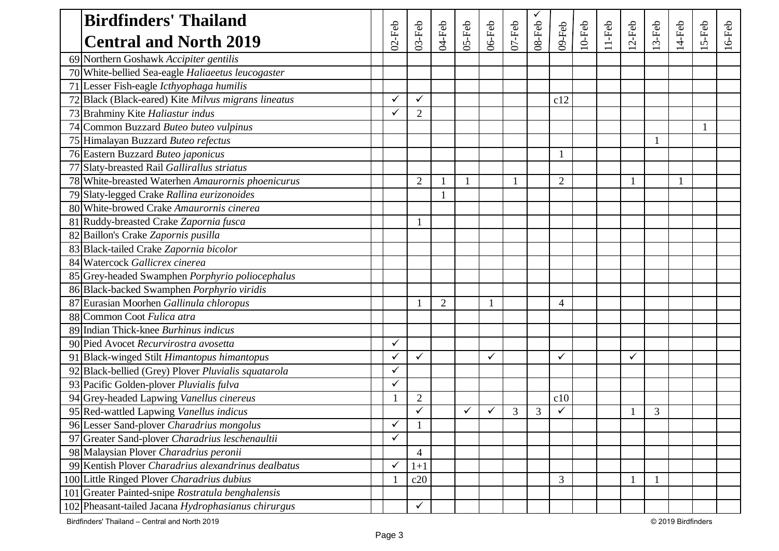| <b>Birdfinders' Thailand</b>                         |           |                |                |              |        |           | ✓         |                |           |          |              |         |        |          |           |
|------------------------------------------------------|-----------|----------------|----------------|--------------|--------|-----------|-----------|----------------|-----------|----------|--------------|---------|--------|----------|-----------|
| <b>Central and North 2019</b>                        | $02$ -Feb | $03-Feb$       | $04-Feb$       | 05-Feb       | 06-Feb | $07$ -Feb | $08$ -Feb | 09-Feb         | $10$ -Feb | $11-Feb$ | $2-Feb$      | $3-Feb$ | 14-Feb | $15-Feb$ | $16$ -Feb |
| 69 Northern Goshawk Accipiter gentilis               |           |                |                |              |        |           |           |                |           |          |              |         |        |          |           |
| 70 White-bellied Sea-eagle Haliaeetus leucogaster    |           |                |                |              |        |           |           |                |           |          |              |         |        |          |           |
| 71 Lesser Fish-eagle Icthyophaga humilis             |           |                |                |              |        |           |           |                |           |          |              |         |        |          |           |
| 72 Black (Black-eared) Kite Milvus migrans lineatus  |           | ✓              |                |              |        |           |           | c12            |           |          |              |         |        |          |           |
| 73 Brahminy Kite Haliastur indus                     |           | $\overline{2}$ |                |              |        |           |           |                |           |          |              |         |        |          |           |
| 74 Common Buzzard Buteo buteo vulpinus               |           |                |                |              |        |           |           |                |           |          |              |         |        |          |           |
| 75 Himalayan Buzzard Buteo refectus                  |           |                |                |              |        |           |           |                |           |          |              |         |        |          |           |
| 76 Eastern Buzzard Buteo japonicus                   |           |                |                |              |        |           |           |                |           |          |              |         |        |          |           |
| 77 Slaty-breasted Rail Gallirallus striatus          |           |                |                |              |        |           |           |                |           |          |              |         |        |          |           |
| 78 White-breasted Waterhen Amaurornis phoenicurus    |           | $\overline{2}$ |                | $\mathbf{1}$ |        |           |           | $\overline{2}$ |           |          |              |         |        |          |           |
| 79 Slaty-legged Crake Rallina eurizonoides           |           |                |                |              |        |           |           |                |           |          |              |         |        |          |           |
| 80 White-browed Crake Amaurornis cinerea             |           |                |                |              |        |           |           |                |           |          |              |         |        |          |           |
| 81 Ruddy-breasted Crake Zapornia fusca               |           |                |                |              |        |           |           |                |           |          |              |         |        |          |           |
| 82 Baillon's Crake Zapornis pusilla                  |           |                |                |              |        |           |           |                |           |          |              |         |        |          |           |
| 83 Black-tailed Crake Zapornia bicolor               |           |                |                |              |        |           |           |                |           |          |              |         |        |          |           |
| 84 Watercock Gallicrex cinerea                       |           |                |                |              |        |           |           |                |           |          |              |         |        |          |           |
| 85 Grey-headed Swamphen Porphyrio poliocephalus      |           |                |                |              |        |           |           |                |           |          |              |         |        |          |           |
| 86 Black-backed Swamphen Porphyrio viridis           |           |                |                |              |        |           |           |                |           |          |              |         |        |          |           |
| 87 Eurasian Moorhen Gallinula chloropus              |           |                | $\overline{2}$ |              |        |           |           | 4              |           |          |              |         |        |          |           |
| 88 Common Coot Fulica atra                           |           |                |                |              |        |           |           |                |           |          |              |         |        |          |           |
| 89 Indian Thick-knee Burhinus indicus                |           |                |                |              |        |           |           |                |           |          |              |         |        |          |           |
| 90 Pied Avocet Recurvirostra avosetta                |           |                |                |              |        |           |           |                |           |          |              |         |        |          |           |
| 91 Black-winged Stilt Himantopus himantopus          |           | ✓              |                |              | ✓      |           |           |                |           |          | $\checkmark$ |         |        |          |           |
| 92 Black-bellied (Grey) Plover Pluvialis squatarola  |           |                |                |              |        |           |           |                |           |          |              |         |        |          |           |
| 93 Pacific Golden-plover Pluvialis fulva             |           |                |                |              |        |           |           |                |           |          |              |         |        |          |           |
| 94 Grey-headed Lapwing Vanellus cinereus             |           | $\overline{2}$ |                |              |        |           |           | c10            |           |          |              |         |        |          |           |
| 95 Red-wattled Lapwing Vanellus indicus              |           | ✓              |                | $\checkmark$ | ✓      | 3         | 3         |                |           |          |              | 3       |        |          |           |
| 96 Lesser Sand-plover Charadrius mongolus            |           |                |                |              |        |           |           |                |           |          |              |         |        |          |           |
| 97 Greater Sand-plover Charadrius leschenaultii      | ✓         |                |                |              |        |           |           |                |           |          |              |         |        |          |           |
| 98 Malaysian Plover Charadrius peronii               |           | $\overline{4}$ |                |              |        |           |           |                |           |          |              |         |        |          |           |
| 99 Kentish Plover Charadrius alexandrinus dealbatus  |           | $1+1$          |                |              |        |           |           |                |           |          |              |         |        |          |           |
| 100 Little Ringed Plover Charadrius dubius           |           | c20            |                |              |        |           |           | 3              |           |          |              |         |        |          |           |
| Greater Painted-snipe Rostratula benghalensis<br>101 |           |                |                |              |        |           |           |                |           |          |              |         |        |          |           |
| 102 Pheasant-tailed Jacana Hydrophasianus chirurgus  |           | ✓              |                |              |        |           |           |                |           |          |              |         |        |          |           |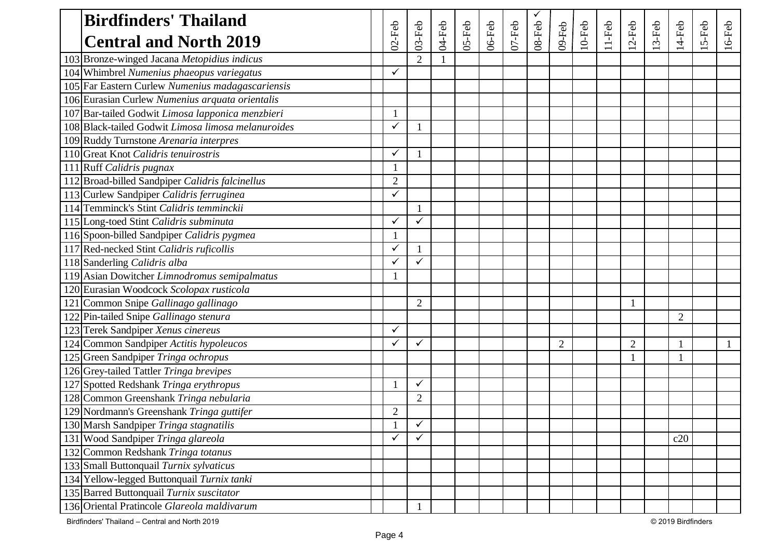| <b>Birdfinders' Thailand</b>                       |                |                |        |            |           |           |            |                |           |          |                |       |                |         |          |
|----------------------------------------------------|----------------|----------------|--------|------------|-----------|-----------|------------|----------------|-----------|----------|----------------|-------|----------------|---------|----------|
| <b>Central and North 2019</b>                      | $02$ -Feb      | $03-Feb$       | 04-Feb | $05 - Feb$ | $06$ -Feb | $07$ -Feb | $08 - Feb$ | $09$ -Feb      | $10$ -Feb | $11-Feb$ | $12$ -Feb      | 3-Feb | $14-Feb$       | $5-Feb$ | $16-Feb$ |
| 103 Bronze-winged Jacana Metopidius indicus        |                | $\overline{2}$ |        |            |           |           |            |                |           |          |                |       |                |         |          |
| 104 Whimbrel Numenius phaeopus variegatus          |                |                |        |            |           |           |            |                |           |          |                |       |                |         |          |
| 105 Far Eastern Curlew Numenius madagascariensis   |                |                |        |            |           |           |            |                |           |          |                |       |                |         |          |
| 106 Eurasian Curlew Numenius arquata orientalis    |                |                |        |            |           |           |            |                |           |          |                |       |                |         |          |
| 107 Bar-tailed Godwit Limosa lapponica menzbieri   |                |                |        |            |           |           |            |                |           |          |                |       |                |         |          |
| 108 Black-tailed Godwit Limosa limosa melanuroides |                |                |        |            |           |           |            |                |           |          |                |       |                |         |          |
| 109 Ruddy Turnstone Arenaria interpres             |                |                |        |            |           |           |            |                |           |          |                |       |                |         |          |
| 110 Great Knot Calidris tenuirostris               | ✓              |                |        |            |           |           |            |                |           |          |                |       |                |         |          |
| 111 Ruff Calidris pugnax                           |                |                |        |            |           |           |            |                |           |          |                |       |                |         |          |
| 112 Broad-billed Sandpiper Calidris falcinellus    | $\overline{2}$ |                |        |            |           |           |            |                |           |          |                |       |                |         |          |
| 113 Curlew Sandpiper Calidris ferruginea           |                |                |        |            |           |           |            |                |           |          |                |       |                |         |          |
| 114 Temminck's Stint Calidris temminckii           |                |                |        |            |           |           |            |                |           |          |                |       |                |         |          |
| 115 Long-toed Stint Calidris subminuta             |                | ✓              |        |            |           |           |            |                |           |          |                |       |                |         |          |
| 116 Spoon-billed Sandpiper Calidris pygmea         |                |                |        |            |           |           |            |                |           |          |                |       |                |         |          |
| 117 Red-necked Stint Calidris ruficollis           |                |                |        |            |           |           |            |                |           |          |                |       |                |         |          |
| 118 Sanderling Calidris alba                       |                | ✓              |        |            |           |           |            |                |           |          |                |       |                |         |          |
| 119 Asian Dowitcher Limnodromus semipalmatus       |                |                |        |            |           |           |            |                |           |          |                |       |                |         |          |
| 120 Eurasian Woodcock Scolopax rusticola           |                |                |        |            |           |           |            |                |           |          |                |       |                |         |          |
| 121 Common Snipe Gallinago gallinago               |                | $\overline{2}$ |        |            |           |           |            |                |           |          |                |       |                |         |          |
| 122 Pin-tailed Snipe Gallinago stenura             |                |                |        |            |           |           |            |                |           |          |                |       | $\overline{2}$ |         |          |
| 123 Terek Sandpiper Xenus cinereus                 |                |                |        |            |           |           |            |                |           |          |                |       |                |         |          |
| 124 Common Sandpiper Actitis hypoleucos            |                | ✓              |        |            |           |           |            | $\overline{2}$ |           |          | $\overline{2}$ |       |                |         |          |
| 125 Green Sandpiper Tringa ochropus                |                |                |        |            |           |           |            |                |           |          |                |       |                |         |          |
| 126 Grey-tailed Tattler Tringa brevipes            |                |                |        |            |           |           |            |                |           |          |                |       |                |         |          |
| 127 Spotted Redshank Tringa erythropus             |                | ✓              |        |            |           |           |            |                |           |          |                |       |                |         |          |
| 128 Common Greenshank Tringa nebularia             |                | $\overline{2}$ |        |            |           |           |            |                |           |          |                |       |                |         |          |
| 129 Nordmann's Greenshank Tringa guttifer          | 2              |                |        |            |           |           |            |                |           |          |                |       |                |         |          |
| 130 Marsh Sandpiper Tringa stagnatilis             | $\mathbf{1}$   | $\checkmark$   |        |            |           |           |            |                |           |          |                |       |                |         |          |
| 131 Wood Sandpiper Tringa glareola                 |                | ✓              |        |            |           |           |            |                |           |          |                |       | c20            |         |          |
| 132 Common Redshank Tringa totanus                 |                |                |        |            |           |           |            |                |           |          |                |       |                |         |          |
| 133 Small Buttonquail Turnix sylvaticus            |                |                |        |            |           |           |            |                |           |          |                |       |                |         |          |
| 134 Yellow-legged Buttonquail Turnix tanki         |                |                |        |            |           |           |            |                |           |          |                |       |                |         |          |
| 135 Barred Buttonquail Turnix suscitator           |                |                |        |            |           |           |            |                |           |          |                |       |                |         |          |
| 136 Oriental Pratincole Glareola maldivarum        |                |                |        |            |           |           |            |                |           |          |                |       |                |         |          |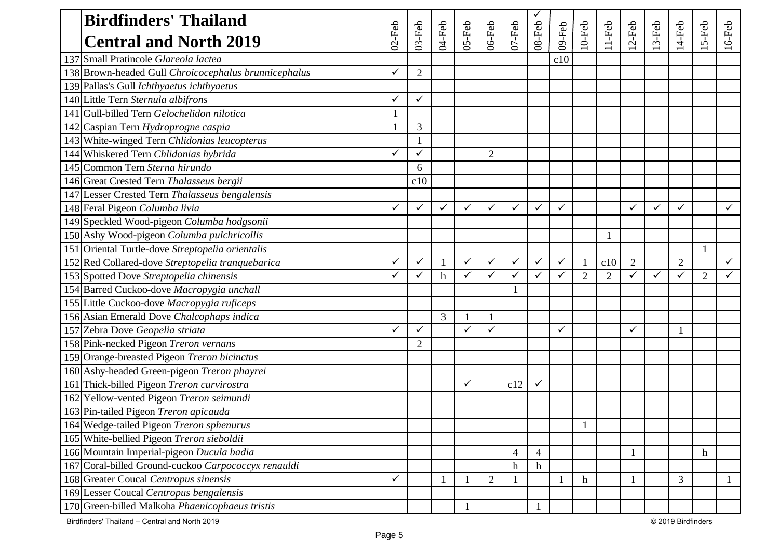| <b>Birdfinders' Thailand</b>                         |              |                |                  |              |                |                |                |              |                  |                |                |              |                |                |              |
|------------------------------------------------------|--------------|----------------|------------------|--------------|----------------|----------------|----------------|--------------|------------------|----------------|----------------|--------------|----------------|----------------|--------------|
| <b>Central and North 2019</b>                        | $02$ -Feb    | $03-Feb$       | 04-Feb           | $05 - Feb$   | 06-Feb         | $07 - Feb$     | 08-Feb         | 09-Feb       | $10$ -Feb        | $11-Feb$       | $2-Feb$        | $3-Feb$      | 14-Feb         | 5-Feb          | $16$ -Feb    |
| 137 Small Pratincole Glareola lactea                 |              |                |                  |              |                |                |                | c10          |                  |                |                |              |                |                |              |
| 138 Brown-headed Gull Chroicocephalus brunnicephalus |              | $\overline{2}$ |                  |              |                |                |                |              |                  |                |                |              |                |                |              |
| 139 Pallas's Gull Ichthyaetus ichthyaetus            |              |                |                  |              |                |                |                |              |                  |                |                |              |                |                |              |
| 140 Little Tern Sternula albifrons                   |              | ✓              |                  |              |                |                |                |              |                  |                |                |              |                |                |              |
| 141 Gull-billed Tern Gelochelidon nilotica           |              |                |                  |              |                |                |                |              |                  |                |                |              |                |                |              |
| 142 Caspian Tern Hydroprogne caspia                  |              | $\mathfrak{Z}$ |                  |              |                |                |                |              |                  |                |                |              |                |                |              |
| 143 White-winged Tern Chlidonias leucopterus         |              |                |                  |              |                |                |                |              |                  |                |                |              |                |                |              |
| 144 Whiskered Tern Chlidonias hybrida                |              | ✓              |                  |              | $\overline{2}$ |                |                |              |                  |                |                |              |                |                |              |
| 145 Common Tern Sterna hirundo                       |              | 6              |                  |              |                |                |                |              |                  |                |                |              |                |                |              |
| 146 Great Crested Tern Thalasseus bergii             |              | c10            |                  |              |                |                |                |              |                  |                |                |              |                |                |              |
| 147 Lesser Crested Tern Thalasseus bengalensis       |              |                |                  |              |                |                |                |              |                  |                |                |              |                |                |              |
| 148 Feral Pigeon Columba livia                       | $\checkmark$ | ✓              | $\checkmark$     | $\checkmark$ | ✓              | ✓              | $\checkmark$   | $\checkmark$ |                  |                | ✓              | $\checkmark$ | $\checkmark$   |                | ✓            |
| 149 Speckled Wood-pigeon Columba hodgsonii           |              |                |                  |              |                |                |                |              |                  |                |                |              |                |                |              |
| 150 Ashy Wood-pigeon Columba pulchricollis           |              |                |                  |              |                |                |                |              |                  |                |                |              |                |                |              |
| 151 Oriental Turtle-dove Streptopelia orientalis     |              |                |                  |              |                |                |                |              |                  |                |                |              |                |                |              |
| 152 Red Collared-dove Streptopelia tranquebarica     |              | ✓              |                  | $\checkmark$ | $\checkmark$   | ✓              | $\checkmark$   | ✓            |                  | c10            | $\overline{2}$ |              | $\overline{2}$ |                | $\checkmark$ |
| 153 Spotted Dove Streptopelia chinensis              | ✓            | ✓              | $\boldsymbol{h}$ | $\checkmark$ | $\checkmark$   | ✓              | $\checkmark$   | ✓            | $\overline{2}$   | $\overline{2}$ | ✓              | $\checkmark$ | $\checkmark$   | $\overline{2}$ | ✓            |
| 154 Barred Cuckoo-dove Macropygia unchall            |              |                |                  |              |                |                |                |              |                  |                |                |              |                |                |              |
| 155 Little Cuckoo-dove Macropygia ruficeps           |              |                |                  |              |                |                |                |              |                  |                |                |              |                |                |              |
| 156 Asian Emerald Dove Chalcophaps indica            |              |                | 3                |              |                |                |                |              |                  |                |                |              |                |                |              |
| 157 Zebra Dove Geopelia striata                      |              | ✓              |                  | ✓            | $\checkmark$   |                |                | $\checkmark$ |                  |                | ✓              |              |                |                |              |
| 158 Pink-necked Pigeon Treron vernans                |              | $\overline{2}$ |                  |              |                |                |                |              |                  |                |                |              |                |                |              |
| 159 Orange-breasted Pigeon Treron bicinctus          |              |                |                  |              |                |                |                |              |                  |                |                |              |                |                |              |
| 160 Ashy-headed Green-pigeon Treron phayrei          |              |                |                  |              |                |                |                |              |                  |                |                |              |                |                |              |
| 161 Thick-billed Pigeon Treron curvirostra           |              |                |                  | $\checkmark$ |                | c12            | $\checkmark$   |              |                  |                |                |              |                |                |              |
| 162 Yellow-vented Pigeon Treron seimundi             |              |                |                  |              |                |                |                |              |                  |                |                |              |                |                |              |
| 163 Pin-tailed Pigeon Treron apicauda                |              |                |                  |              |                |                |                |              |                  |                |                |              |                |                |              |
| 164 Wedge-tailed Pigeon Treron sphenurus             |              |                |                  |              |                |                |                |              |                  |                |                |              |                |                |              |
| 165 White-bellied Pigeon Treron sieboldii            |              |                |                  |              |                |                |                |              |                  |                |                |              |                |                |              |
| 166 Mountain Imperial-pigeon Ducula badia            |              |                |                  |              |                | $\overline{4}$ | $\overline{4}$ |              |                  |                |                |              |                | $\mathbf h$    |              |
| 167 Coral-billed Ground-cuckoo Carpococcyx renauldi  |              |                |                  |              |                | h              | $\mathbf h$    |              |                  |                |                |              |                |                |              |
| 168 Greater Coucal Centropus sinensis                |              |                |                  |              | $\overline{2}$ |                |                |              | $\boldsymbol{h}$ |                |                |              | 3              |                |              |
| 169 Lesser Coucal Centropus bengalensis              |              |                |                  |              |                |                |                |              |                  |                |                |              |                |                |              |
| 170 Green-billed Malkoha Phaenicophaeus tristis      |              |                |                  |              |                |                |                |              |                  |                |                |              |                |                |              |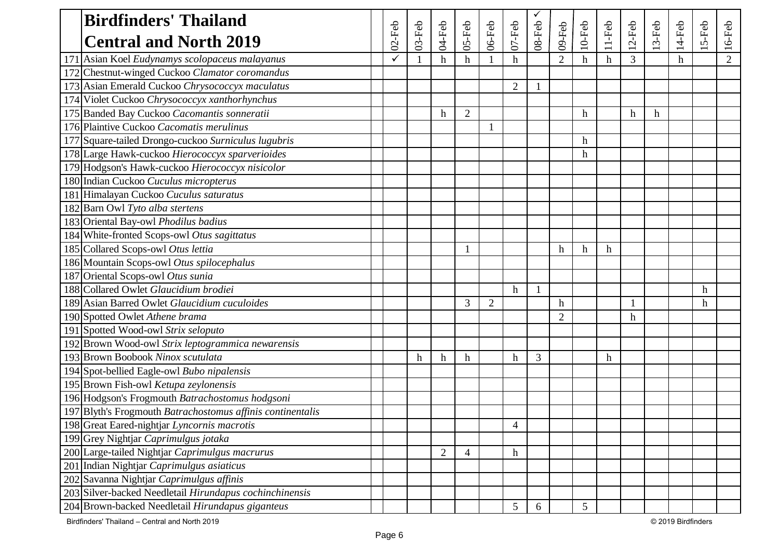| <b>Birdfinders' Thailand</b>                               |           |          |                |                |                |                |              |                |           |                  |                  |              |        |       |                |
|------------------------------------------------------------|-----------|----------|----------------|----------------|----------------|----------------|--------------|----------------|-----------|------------------|------------------|--------------|--------|-------|----------------|
| <b>Central and North 2019</b>                              | $02$ -Feb | $03-Feb$ | 04-Feb         | 05-Feb         | 06-Feb         | $07 - Feb$     | 08-Feb       | 09-Feb         | $10$ -Feb | $11-Feb$         | $12$ -Feb        | $3-Feb$      | 14-Feb | 5-Feb | $16$ -Feb      |
| Asian Koel Eudynamys scolopaceus malayanus                 |           |          | h              | h              |                | h              |              | $\overline{2}$ | h         | $\mathbf h$      | 3                |              | h      |       | $\overline{2}$ |
| 172 Chestnut-winged Cuckoo Clamator coromandus             |           |          |                |                |                |                |              |                |           |                  |                  |              |        |       |                |
| 173 Asian Emerald Cuckoo Chrysococcyx maculatus            |           |          |                |                |                | $\overline{2}$ | 1            |                |           |                  |                  |              |        |       |                |
| 174 Violet Cuckoo Chrysococcyx xanthorhynchus              |           |          |                |                |                |                |              |                |           |                  |                  |              |        |       |                |
| 175 Banded Bay Cuckoo Cacomantis sonneratii                |           |          | h              | $\overline{2}$ |                |                |              |                | h         |                  | $\boldsymbol{h}$ | $\mathbf{h}$ |        |       |                |
| 176 Plaintive Cuckoo Cacomatis merulinus                   |           |          |                |                |                |                |              |                |           |                  |                  |              |        |       |                |
| 177 Square-tailed Drongo-cuckoo Surniculus lugubris        |           |          |                |                |                |                |              |                | h         |                  |                  |              |        |       |                |
| 178 Large Hawk-cuckoo Hierococcyx sparverioides            |           |          |                |                |                |                |              |                | h         |                  |                  |              |        |       |                |
| 179 Hodgson's Hawk-cuckoo Hierococcyx nisicolor            |           |          |                |                |                |                |              |                |           |                  |                  |              |        |       |                |
| 180 Indian Cuckoo Cuculus micropterus                      |           |          |                |                |                |                |              |                |           |                  |                  |              |        |       |                |
| 181 Himalayan Cuckoo Cuculus saturatus                     |           |          |                |                |                |                |              |                |           |                  |                  |              |        |       |                |
| 182 Barn Owl Tyto alba stertens                            |           |          |                |                |                |                |              |                |           |                  |                  |              |        |       |                |
| 183 Oriental Bay-owl Phodilus badius                       |           |          |                |                |                |                |              |                |           |                  |                  |              |        |       |                |
| 184 White-fronted Scops-owl Otus sagittatus                |           |          |                |                |                |                |              |                |           |                  |                  |              |        |       |                |
| 185 Collared Scops-owl Otus lettia                         |           |          |                |                |                |                |              | h              | h         | h                |                  |              |        |       |                |
| 186 Mountain Scops-owl Otus spilocephalus                  |           |          |                |                |                |                |              |                |           |                  |                  |              |        |       |                |
| 187 Oriental Scops-owl Otus sunia                          |           |          |                |                |                |                |              |                |           |                  |                  |              |        |       |                |
| 188 Collared Owlet Glaucidium brodiei                      |           |          |                |                |                | h              | $\mathbf{1}$ |                |           |                  |                  |              |        | h     |                |
| 189 Asian Barred Owlet Glaucidium cuculoides               |           |          |                | 3              | $\overline{2}$ |                |              | h              |           |                  |                  |              |        | h     |                |
| 190 Spotted Owlet Athene brama                             |           |          |                |                |                |                |              | $\overline{2}$ |           |                  | $\mathbf h$      |              |        |       |                |
| 191 Spotted Wood-owl Strix seloputo                        |           |          |                |                |                |                |              |                |           |                  |                  |              |        |       |                |
| 192 Brown Wood-owl Strix leptogrammica newarensis          |           |          |                |                |                |                |              |                |           |                  |                  |              |        |       |                |
| 193 Brown Boobook Ninox scutulata                          |           | h        | h              | $\mathbf h$    |                | h              | 3            |                |           | $\boldsymbol{h}$ |                  |              |        |       |                |
| 194 Spot-bellied Eagle-owl Bubo nipalensis                 |           |          |                |                |                |                |              |                |           |                  |                  |              |        |       |                |
| 195 Brown Fish-owl Ketupa zeylonensis                      |           |          |                |                |                |                |              |                |           |                  |                  |              |        |       |                |
| 196 Hodgson's Frogmouth Batrachostomus hodgsoni            |           |          |                |                |                |                |              |                |           |                  |                  |              |        |       |                |
| 197 Blyth's Frogmouth Batrachostomus affinis continentalis |           |          |                |                |                |                |              |                |           |                  |                  |              |        |       |                |
| 198 Great Eared-nightjar Lyncornis macrotis                |           |          |                |                |                | 4              |              |                |           |                  |                  |              |        |       |                |
| 199 Grey Nightjar Caprimulgus jotaka                       |           |          |                |                |                |                |              |                |           |                  |                  |              |        |       |                |
| 200 Large-tailed Nightjar Caprimulgus macrurus             |           |          | $\overline{2}$ | 4              |                | h              |              |                |           |                  |                  |              |        |       |                |
| 201 Indian Nightjar Caprimulgus asiaticus                  |           |          |                |                |                |                |              |                |           |                  |                  |              |        |       |                |
| 202 Savanna Nightjar Caprimulgus affinis                   |           |          |                |                |                |                |              |                |           |                  |                  |              |        |       |                |
| 203 Silver-backed Needletail Hirundapus cochinchinensis    |           |          |                |                |                |                |              |                |           |                  |                  |              |        |       |                |
| 204 Brown-backed Needletail Hirundapus giganteus           |           |          |                |                |                | 5              | 6            |                | 5         |                  |                  |              |        |       |                |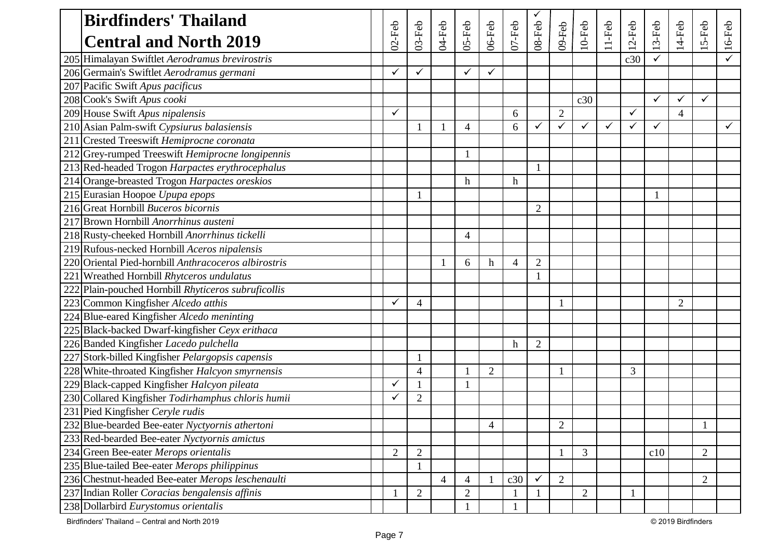|     | <b>Birdfinders' Thailand</b>                         |                |                |                |                |                |            |                |                |                |              |           |           |                |                |        |
|-----|------------------------------------------------------|----------------|----------------|----------------|----------------|----------------|------------|----------------|----------------|----------------|--------------|-----------|-----------|----------------|----------------|--------|
|     | <b>Central and North 2019</b>                        | $02$ -Feb      | $03$ -Feb      | 04-Feb         | 05-Feb         | 06-Feb         | $07 - Feb$ | 08-Feb         | 09-Feb         | $10$ -Feb      | 11-Feb       | $12$ -Feb | $13$ -Feb | $14$ -Feb      | $15$ -Feb      | 16-Feb |
|     | 205 Himalayan Swiftlet Aerodramus brevirostris       |                |                |                |                |                |            |                |                |                |              | c30       |           |                |                |        |
|     | 206 Germain's Swiftlet Aerodramus germani            | ✓              | ✓              |                | $\checkmark$   | $\checkmark$   |            |                |                |                |              |           |           |                |                |        |
|     | 207 Pacific Swift Apus pacificus                     |                |                |                |                |                |            |                |                |                |              |           |           |                |                |        |
|     | 208 Cook's Swift Apus cooki                          |                |                |                |                |                |            |                |                | c30            |              |           | ✓         |                | $\checkmark$   |        |
|     | 209 House Swift Apus nipalensis                      | $\checkmark$   |                |                |                |                | 6          |                | $\overline{2}$ |                |              | ✓         |           | $\overline{4}$ |                |        |
|     | 210 Asian Palm-swift Cypsiurus balasiensis           |                |                |                | $\overline{4}$ |                | 6          |                | ✓              | ✓              | $\checkmark$ | ✓         | ✓         |                |                |        |
|     | 211 Crested Treeswift Hemiprocne coronata            |                |                |                |                |                |            |                |                |                |              |           |           |                |                |        |
|     | 212 Grey-rumped Treeswift Hemiprocne longipennis     |                |                |                |                |                |            |                |                |                |              |           |           |                |                |        |
|     | 213 Red-headed Trogon Harpactes erythrocephalus      |                |                |                |                |                |            | $\mathbf{1}$   |                |                |              |           |           |                |                |        |
|     | 214 Orange-breasted Trogon Harpactes oreskios        |                |                |                | $\mathbf h$    |                | h          |                |                |                |              |           |           |                |                |        |
|     | 215 Eurasian Hoopoe Upupa epops                      |                |                |                |                |                |            |                |                |                |              |           | 1         |                |                |        |
|     | 216 Great Hornbill Buceros bicornis                  |                |                |                |                |                |            | $\overline{2}$ |                |                |              |           |           |                |                |        |
|     | 217 Brown Hornbill Anorrhinus austeni                |                |                |                |                |                |            |                |                |                |              |           |           |                |                |        |
|     | 218 Rusty-cheeked Hornbill Anorrhinus tickelli       |                |                |                | $\overline{4}$ |                |            |                |                |                |              |           |           |                |                |        |
|     | 219 Rufous-necked Hornbill Aceros nipalensis         |                |                |                |                |                |            |                |                |                |              |           |           |                |                |        |
|     | 220 Oriental Pied-hornbill Anthracoceros albirostris |                |                |                | 6              | h              | 4          | $\overline{2}$ |                |                |              |           |           |                |                |        |
|     | 221 Wreathed Hornbill Rhytceros undulatus            |                |                |                |                |                |            |                |                |                |              |           |           |                |                |        |
|     | 222 Plain-pouched Hornbill Rhyticeros subruficollis  |                |                |                |                |                |            |                |                |                |              |           |           |                |                |        |
|     | 223 Common Kingfisher Alcedo atthis                  |                | $\overline{4}$ |                |                |                |            |                |                |                |              |           |           | $\overline{2}$ |                |        |
|     | 224 Blue-eared Kingfisher Alcedo meninting           |                |                |                |                |                |            |                |                |                |              |           |           |                |                |        |
|     | 225 Black-backed Dwarf-kingfisher Ceyx erithaca      |                |                |                |                |                |            |                |                |                |              |           |           |                |                |        |
|     | 226 Banded Kingfisher Lacedo pulchella               |                |                |                |                |                | h          | $\overline{2}$ |                |                |              |           |           |                |                |        |
|     | 227 Stork-billed Kingfisher Pelargopsis capensis     |                |                |                |                |                |            |                |                |                |              |           |           |                |                |        |
|     | 228 White-throated Kingfisher Halcyon smyrnensis     |                | $\overline{4}$ |                |                | $\overline{2}$ |            |                |                |                |              | 3         |           |                |                |        |
|     | 229 Black-capped Kingfisher Halcyon pileata          |                |                |                |                |                |            |                |                |                |              |           |           |                |                |        |
|     | 230 Collared Kingfisher Todirhamphus chloris humii   | ✓              | $\overline{2}$ |                |                |                |            |                |                |                |              |           |           |                |                |        |
|     | 231 Pied Kingfisher Ceryle rudis                     |                |                |                |                |                |            |                |                |                |              |           |           |                |                |        |
|     | 232 Blue-bearded Bee-eater Nyctyornis athertoni      |                |                |                |                | 4              |            |                | $\sqrt{2}$     |                |              |           |           |                | $\blacksquare$ |        |
|     | 233 Red-bearded Bee-eater Nyctyornis amictus         |                |                |                |                |                |            |                |                |                |              |           |           |                |                |        |
|     | 234 Green Bee-eater Merops orientalis                | $\overline{2}$ | $\mathfrak{2}$ |                |                |                |            |                |                | 3              |              |           | c10       |                | $\overline{2}$ |        |
|     | 235 Blue-tailed Bee-eater Merops philippinus         |                |                |                |                |                |            |                |                |                |              |           |           |                |                |        |
|     | 236 Chestnut-headed Bee-eater Merops leschenaulti    |                |                | $\overline{4}$ | $\overline{4}$ |                | c30        | ✓              | $\overline{2}$ |                |              |           |           |                | $\overline{2}$ |        |
| 237 | Indian Roller Coracias bengalensis affinis           |                | $\overline{2}$ |                | $\overline{2}$ |                |            |                |                | $\overline{2}$ |              |           |           |                |                |        |
|     | 238 Dollarbird Eurystomus orientalis                 |                |                |                |                |                |            |                |                |                |              |           |           |                |                |        |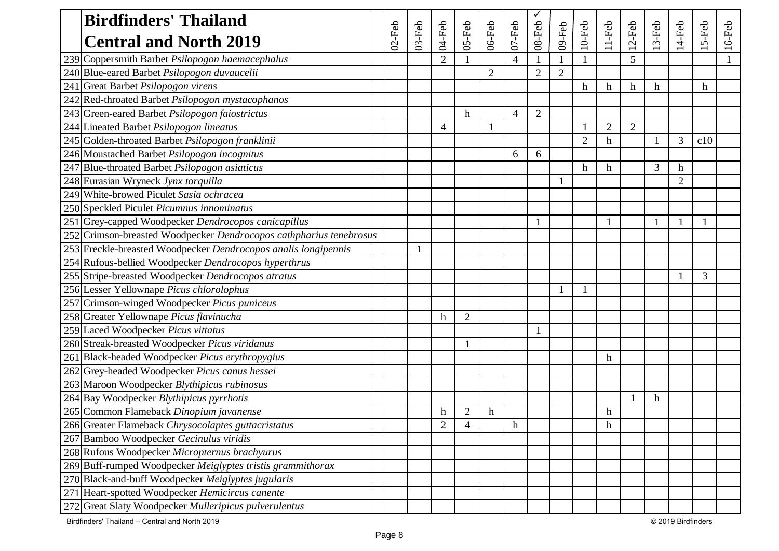| <b>Birdfinders' Thailand</b>                                       |           |           |                |                |           |            |                |                |                |                           |                |         |                |              |           |
|--------------------------------------------------------------------|-----------|-----------|----------------|----------------|-----------|------------|----------------|----------------|----------------|---------------------------|----------------|---------|----------------|--------------|-----------|
| <b>Central and North 2019</b>                                      | $02$ -Feb | $03$ -Feb | 04-Feb         | 05-Feb         | $06$ -Feb | $07 - Feb$ | 08-Feb         | 09-Feb         | $10$ -Feb      | $11-Feb$                  | $12$ -Feb      | $3-Feb$ | 4-Feb          | 5-Feb        | $16$ -Feb |
| 239 Coppersmith Barbet Psilopogon haemacephalus                    |           |           | 2              |                |           | 4          |                |                |                |                           | 5              |         |                |              |           |
| 240 Blue-eared Barbet Psilopogon duvaucelii                        |           |           |                |                | 2         |            | $\overline{2}$ | $\overline{2}$ |                |                           |                |         |                |              |           |
| 241 Great Barbet Psilopogon virens                                 |           |           |                |                |           |            |                |                | h              | $\boldsymbol{\mathrm{h}}$ | $\mathbf h$    | h       |                | h            |           |
| 242 Red-throated Barbet Psilopogon mystacophanos                   |           |           |                |                |           |            |                |                |                |                           |                |         |                |              |           |
| 243 Green-eared Barbet Psilopogon faiostrictus                     |           |           |                | $\mathbf h$    |           | 4          | $\mathfrak{2}$ |                |                |                           |                |         |                |              |           |
| 244 Lineated Barbet Psilopogon lineatus                            |           |           | $\overline{4}$ |                |           |            |                |                |                | $\overline{2}$            | $\overline{2}$ |         |                |              |           |
| 245 Golden-throated Barbet Psilopogon franklinii                   |           |           |                |                |           |            |                |                | $\overline{2}$ | $\mathbf h$               |                |         | 3              | c10          |           |
| 246 Moustached Barbet Psilopogon incognitus                        |           |           |                |                |           | 6          | 6              |                |                |                           |                |         |                |              |           |
| 247 Blue-throated Barbet Psilopogon asiaticus                      |           |           |                |                |           |            |                |                | h              | $\mathbf h$               |                | 3       | h              |              |           |
| 248 Eurasian Wryneck Jynx torquilla                                |           |           |                |                |           |            |                |                |                |                           |                |         | $\overline{2}$ |              |           |
| 249 White-browed Piculet Sasia ochracea                            |           |           |                |                |           |            |                |                |                |                           |                |         |                |              |           |
| 250 Speckled Piculet Picumnus innominatus                          |           |           |                |                |           |            |                |                |                |                           |                |         |                |              |           |
| 251 Grey-capped Woodpecker Dendrocopos canicapillus                |           |           |                |                |           |            | 1              |                |                | 1                         |                | 1       |                | $\mathbf{1}$ |           |
| 252 Crimson-breasted Woodpecker Dendrocopos cathpharius tenebrosus |           |           |                |                |           |            |                |                |                |                           |                |         |                |              |           |
| 253 Freckle-breasted Woodpecker Dendrocopos analis longipennis     |           |           |                |                |           |            |                |                |                |                           |                |         |                |              |           |
| 254 Rufous-bellied Woodpecker Dendrocopos hyperthrus               |           |           |                |                |           |            |                |                |                |                           |                |         |                |              |           |
| 255 Stripe-breasted Woodpecker Dendrocopos atratus                 |           |           |                |                |           |            |                |                |                |                           |                |         |                | 3            |           |
| 256 Lesser Yellownape Picus chlorolophus                           |           |           |                |                |           |            |                |                |                |                           |                |         |                |              |           |
| 257 Crimson-winged Woodpecker Picus puniceus                       |           |           |                |                |           |            |                |                |                |                           |                |         |                |              |           |
| 258 Greater Yellownape Picus flavinucha                            |           |           | h              | $\overline{2}$ |           |            |                |                |                |                           |                |         |                |              |           |
| 259 Laced Woodpecker Picus vittatus                                |           |           |                |                |           |            |                |                |                |                           |                |         |                |              |           |
| 260 Streak-breasted Woodpecker Picus viridanus                     |           |           |                | 1              |           |            |                |                |                |                           |                |         |                |              |           |
| 261 Black-headed Woodpecker Picus erythropygius                    |           |           |                |                |           |            |                |                |                | $\boldsymbol{h}$          |                |         |                |              |           |
| 262 Grey-headed Woodpecker Picus canus hessei                      |           |           |                |                |           |            |                |                |                |                           |                |         |                |              |           |
| 263 Maroon Woodpecker Blythipicus rubinosus                        |           |           |                |                |           |            |                |                |                |                           |                |         |                |              |           |
| 264 Bay Woodpecker Blythipicus pyrrhotis                           |           |           |                |                |           |            |                |                |                |                           |                | $\hbar$ |                |              |           |
| 265 Common Flameback Dinopium javanense                            |           |           | h              | $\overline{2}$ | h         |            |                |                |                | $\boldsymbol{\mathrm{h}}$ |                |         |                |              |           |
| 266 Greater Flameback Chrysocolaptes guttacristatus                |           |           | $\overline{2}$ | 4              |           | h          |                |                |                | h                         |                |         |                |              |           |
| 267 Bamboo Woodpecker Gecinulus viridis                            |           |           |                |                |           |            |                |                |                |                           |                |         |                |              |           |
| 268 Rufous Woodpecker Micropternus brachyurus                      |           |           |                |                |           |            |                |                |                |                           |                |         |                |              |           |
| 269 Buff-rumped Woodpecker Meiglyptes tristis grammithorax         |           |           |                |                |           |            |                |                |                |                           |                |         |                |              |           |
| 270 Black-and-buff Woodpecker Meiglyptes jugularis                 |           |           |                |                |           |            |                |                |                |                           |                |         |                |              |           |
| 271 Heart-spotted Woodpecker Hemicircus canente                    |           |           |                |                |           |            |                |                |                |                           |                |         |                |              |           |
| 272 Great Slaty Woodpecker Mulleripicus pulverulentus              |           |           |                |                |           |            |                |                |                |                           |                |         |                |              |           |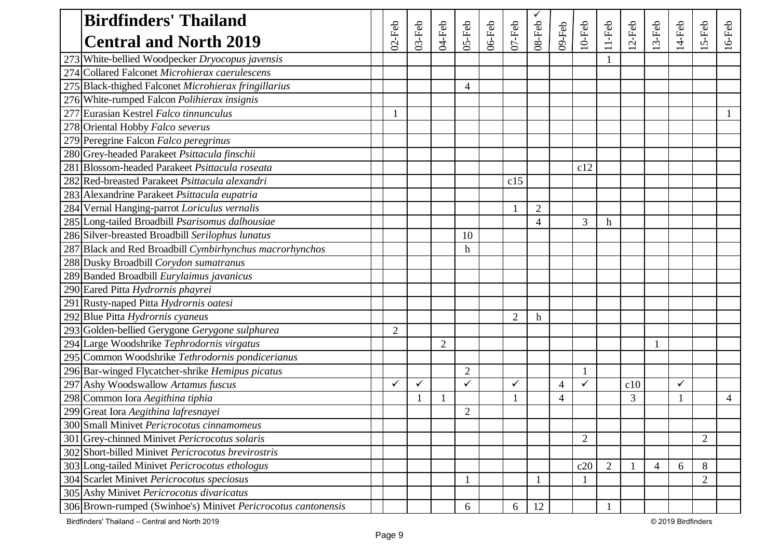| <b>Birdfinders' Thailand</b>                                  |                |           |                |                |        |                |                  |                |                |                |         |         |              |                |       |
|---------------------------------------------------------------|----------------|-----------|----------------|----------------|--------|----------------|------------------|----------------|----------------|----------------|---------|---------|--------------|----------------|-------|
| <b>Central and North 2019</b>                                 | $02$ -Feb      | $03$ -Feb | 04-Feb         | $05 - Feb$     | 06-Feb | $07 - Feb$     | $08$ -Feb        | 09-Feb         | $10$ -Feb      | $11-Feb$       | $2-Feb$ | $3-Feb$ | $14-Feb$     | $5-Feb$        | 6-Feb |
| 273 White-bellied Woodpecker Dryocopus javensis               |                |           |                |                |        |                |                  |                |                |                |         |         |              |                |       |
| 274 Collared Falconet Microhierax caerulescens                |                |           |                |                |        |                |                  |                |                |                |         |         |              |                |       |
| 275 Black-thighed Falconet Microhierax fringillarius          |                |           |                | 4              |        |                |                  |                |                |                |         |         |              |                |       |
| 276 White-rumped Falcon Polihierax insignis                   |                |           |                |                |        |                |                  |                |                |                |         |         |              |                |       |
| Eurasian Kestrel Falco tinnunculus                            |                |           |                |                |        |                |                  |                |                |                |         |         |              |                |       |
| 278 Oriental Hobby Falco severus                              |                |           |                |                |        |                |                  |                |                |                |         |         |              |                |       |
| 279 Peregrine Falcon Falco peregrinus                         |                |           |                |                |        |                |                  |                |                |                |         |         |              |                |       |
| 280 Grey-headed Parakeet Psittacula finschii                  |                |           |                |                |        |                |                  |                |                |                |         |         |              |                |       |
| 281 Blossom-headed Parakeet Psittacula roseata                |                |           |                |                |        |                |                  |                | c12            |                |         |         |              |                |       |
| 282 Red-breasted Parakeet Psittacula alexandri                |                |           |                |                |        | c15            |                  |                |                |                |         |         |              |                |       |
| 283 Alexandrine Parakeet Psittacula eupatria                  |                |           |                |                |        |                |                  |                |                |                |         |         |              |                |       |
| 284 Vernal Hanging-parrot Loriculus vernalis                  |                |           |                |                |        |                | $\mathfrak{2}$   |                |                |                |         |         |              |                |       |
| 285 Long-tailed Broadbill Psarisomus dalhousiae               |                |           |                |                |        |                | $\overline{4}$   |                | 3              | h              |         |         |              |                |       |
| 286 Silver-breasted Broadbill Serilophus lunatus              |                |           |                | 10             |        |                |                  |                |                |                |         |         |              |                |       |
| 287 Black and Red Broadbill Cymbirhynchus macrorhynchos       |                |           |                | $\mathbf h$    |        |                |                  |                |                |                |         |         |              |                |       |
| 288 Dusky Broadbill Corydon sumatranus                        |                |           |                |                |        |                |                  |                |                |                |         |         |              |                |       |
| 289 Banded Broadbill Eurylaimus javanicus                     |                |           |                |                |        |                |                  |                |                |                |         |         |              |                |       |
| 290 Eared Pitta Hydrornis phayrei                             |                |           |                |                |        |                |                  |                |                |                |         |         |              |                |       |
| 291 Rusty-naped Pitta Hydrornis oatesi                        |                |           |                |                |        |                |                  |                |                |                |         |         |              |                |       |
| 292 Blue Pitta Hydrornis cyaneus                              |                |           |                |                |        | $\overline{2}$ | $\boldsymbol{h}$ |                |                |                |         |         |              |                |       |
| 293 Golden-bellied Gerygone Gerygone sulphurea                | $\overline{2}$ |           |                |                |        |                |                  |                |                |                |         |         |              |                |       |
| 294 Large Woodshrike Tephrodornis virgatus                    |                |           | $\overline{2}$ |                |        |                |                  |                |                |                |         |         |              |                |       |
| 295 Common Woodshrike Tethrodornis pondicerianus              |                |           |                |                |        |                |                  |                |                |                |         |         |              |                |       |
| 296 Bar-winged Flycatcher-shrike Hemipus picatus              |                |           |                | $\overline{2}$ |        |                |                  |                |                |                |         |         |              |                |       |
| 297 Ashy Woodswallow Artamus fuscus                           |                | ✓         |                | $\checkmark$   |        | ✓              |                  | $\overline{4}$ | ✓              |                | c10     |         | $\checkmark$ |                |       |
| 298 Common Iora Aegithina tiphia                              |                |           |                |                |        |                |                  | $\overline{4}$ |                |                | 3       |         |              |                | 4     |
| 299 Great Iora Aegithina lafresnayei                          |                |           |                | $\overline{2}$ |        |                |                  |                |                |                |         |         |              |                |       |
| 300 Small Minivet Pericrocotus cinnamomeus                    |                |           |                |                |        |                |                  |                |                |                |         |         |              |                |       |
| 301 Grey-chinned Minivet Pericrocotus solaris                 |                |           |                |                |        |                |                  |                | $\overline{2}$ |                |         |         |              | $\overline{2}$ |       |
| 302 Short-billed Minivet Pericrocotus brevirostris            |                |           |                |                |        |                |                  |                |                |                |         |         |              |                |       |
| 303 Long-tailed Minivet Pericrocotus ethologus                |                |           |                |                |        |                |                  |                | c20            | $\overline{2}$ |         |         | 6            | 8              |       |
| 304 Scarlet Minivet Pericrocotus speciosus                    |                |           |                |                |        |                |                  |                |                |                |         |         |              | $\overline{2}$ |       |
| 305 Ashy Minivet Pericrocotus divaricatus                     |                |           |                |                |        |                |                  |                |                |                |         |         |              |                |       |
| 306 Brown-rumped (Swinhoe's) Minivet Pericrocotus cantonensis |                |           |                | 6              |        | 6              | 12               |                |                |                |         |         |              |                |       |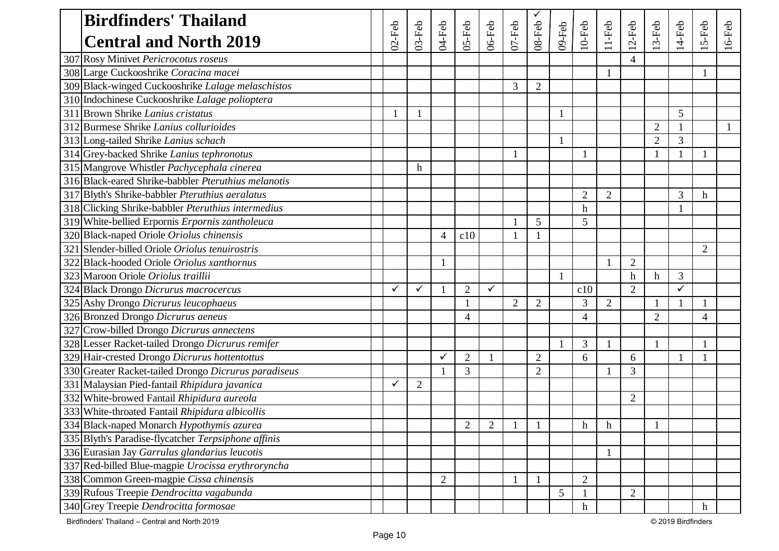|     | <b>Birdfinders' Thailand</b>                         |              |                  |                |                |                |                |                |        |                  |                |                          |                |              |                |           |
|-----|------------------------------------------------------|--------------|------------------|----------------|----------------|----------------|----------------|----------------|--------|------------------|----------------|--------------------------|----------------|--------------|----------------|-----------|
|     | <b>Central and North 2019</b>                        | $02$ -Feb    | $03$ -Feb        | 04-Feb         | $OS-Feb$       | 06-Feb         | $07 - Feb$     | 08-Feb         | 09-Feb | $10$ -Feb        | $11-Feb$       | $12-Feb$                 | $3-Feb$        | 14-Feb       | 5-Feb          | $16$ -Feb |
| 307 | Rosy Minivet Pericrocotus roseus                     |              |                  |                |                |                |                |                |        |                  |                | $\overline{\mathcal{A}}$ |                |              |                |           |
|     | 308 Large Cuckooshrike Coracina macei                |              |                  |                |                |                |                |                |        |                  | 1              |                          |                |              | -1             |           |
|     | 309 Black-winged Cuckooshrike Lalage melaschistos    |              |                  |                |                |                | 3              | $\overline{2}$ |        |                  |                |                          |                |              |                |           |
|     | 310 Indochinese Cuckooshrike Lalage polioptera       |              |                  |                |                |                |                |                |        |                  |                |                          |                |              |                |           |
|     | 311 Brown Shrike Lanius cristatus                    |              |                  |                |                |                |                |                |        |                  |                |                          |                | 5            |                |           |
|     | 312 Burmese Shrike Lanius collurioides               |              |                  |                |                |                |                |                |        |                  |                |                          | $\overline{2}$ |              |                |           |
|     | 313 Long-tailed Shrike Lanius schach                 |              |                  |                |                |                |                |                |        |                  |                |                          | $\overline{2}$ | 3            |                |           |
|     | 314 Grey-backed Shrike Lanius tephronotus            |              |                  |                |                |                |                |                |        |                  |                |                          |                |              |                |           |
|     | 315 Mangrove Whistler Pachycephala cinerea           |              | $\boldsymbol{h}$ |                |                |                |                |                |        |                  |                |                          |                |              |                |           |
|     | 316 Black-eared Shrike-babbler Pteruthius melanotis  |              |                  |                |                |                |                |                |        |                  |                |                          |                |              |                |           |
|     | 317 Blyth's Shrike-babbler Pteruthius aeralatus      |              |                  |                |                |                |                |                |        | $\overline{2}$   | $\overline{2}$ |                          |                | 3            | h              |           |
|     | 318 Clicking Shrike-babbler Pteruthius intermedius   |              |                  |                |                |                |                |                |        | h                |                |                          |                |              |                |           |
|     | 319 White-bellied Erpornis Erpornis zantholeuca      |              |                  |                |                |                |                | 5              |        | 5                |                |                          |                |              |                |           |
|     | 320 Black-naped Oriole Oriolus chinensis             |              |                  | $\overline{4}$ | c10            |                |                |                |        |                  |                |                          |                |              |                |           |
|     | 321 Slender-billed Oriole Oriolus tenuirostris       |              |                  |                |                |                |                |                |        |                  |                |                          |                |              | $\overline{2}$ |           |
| 322 | Black-hooded Oriole Oriolus xanthornus               |              |                  |                |                |                |                |                |        |                  |                | $\overline{2}$           |                |              |                |           |
|     | 323 Maroon Oriole Oriolus traillii                   |              |                  |                |                |                |                |                |        |                  |                | h                        | h              | 3            |                |           |
|     | 324 Black Drongo Dicrurus macrocercus                | $\checkmark$ | $\checkmark$     |                | $\overline{2}$ | $\checkmark$   |                |                |        | c10              |                | $\overline{2}$           |                | $\checkmark$ |                |           |
|     | 325 Ashy Drongo Dicrurus leucophaeus                 |              |                  |                |                |                | $\overline{2}$ | $\overline{2}$ |        | 3                | $\overline{2}$ |                          |                |              |                |           |
|     | 326 Bronzed Drongo Dicrurus aeneus                   |              |                  |                | 4              |                |                |                |        | $\overline{4}$   |                |                          | $\overline{2}$ |              | 4              |           |
|     | 327 Crow-billed Drongo Dicrurus annectens            |              |                  |                |                |                |                |                |        |                  |                |                          |                |              |                |           |
|     | 328 Lesser Racket-tailed Drongo Dicrurus remifer     |              |                  |                |                |                |                |                |        | 3                |                |                          |                |              |                |           |
|     | 329 Hair-crested Drongo Dicrurus hottentottus        |              |                  | $\checkmark$   | $\overline{2}$ |                |                | $\overline{2}$ |        | 6                |                | 6                        |                |              |                |           |
|     | 330 Greater Racket-tailed Drongo Dicrurus paradiseus |              |                  |                | 3              |                |                | $\overline{2}$ |        |                  |                | 3                        |                |              |                |           |
|     | 331 Malaysian Pied-fantail Rhipidura javanica        | $\checkmark$ | $\overline{2}$   |                |                |                |                |                |        |                  |                |                          |                |              |                |           |
|     | 332 White-browed Fantail Rhipidura aureola           |              |                  |                |                |                |                |                |        |                  |                | $\overline{2}$           |                |              |                |           |
|     | 333 White-throated Fantail Rhipidura albicollis      |              |                  |                |                |                |                |                |        |                  |                |                          |                |              |                |           |
|     | 334 Black-naped Monarch Hypothymis azurea            |              |                  |                | $\overline{2}$ | $\overline{2}$ |                |                |        | $\,h$            | h              |                          |                |              |                |           |
|     | 335 Blyth's Paradise-flycatcher Terpsiphone affinis  |              |                  |                |                |                |                |                |        |                  |                |                          |                |              |                |           |
|     | 336 Eurasian Jay Garrulus glandarius leucotis        |              |                  |                |                |                |                |                |        |                  | $\mathbf{1}$   |                          |                |              |                |           |
|     | 337 Red-billed Blue-magpie Urocissa erythroryncha    |              |                  |                |                |                |                |                |        |                  |                |                          |                |              |                |           |
|     | 338 Common Green-magpie Cissa chinensis              |              |                  | $\mathbf{2}$   |                |                |                |                |        | $\overline{2}$   |                |                          |                |              |                |           |
|     | 339 Rufous Treepie Dendrocitta vagabunda             |              |                  |                |                |                |                |                | 5      |                  |                | $\overline{2}$           |                |              |                |           |
|     | 340 Grey Treepie Dendrocitta formosae                |              |                  |                |                |                |                |                |        | $\boldsymbol{h}$ |                |                          |                |              | $\mathbf h$    |           |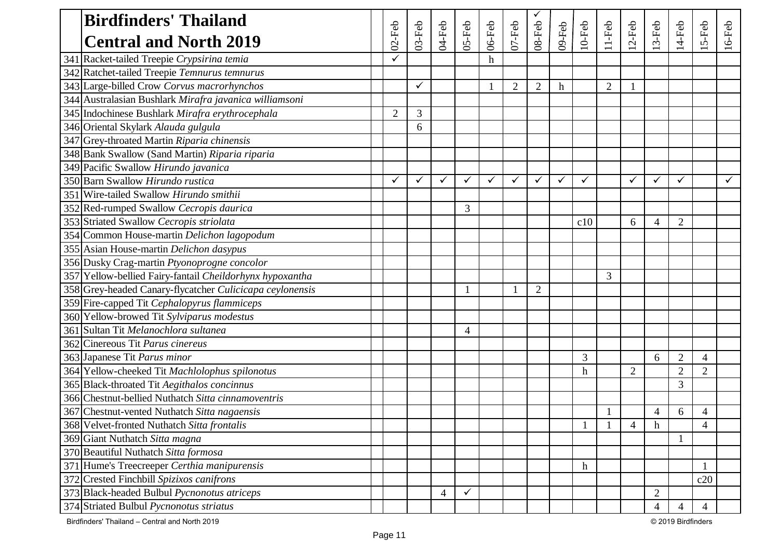| <b>Birdfinders' Thailand</b>                             |                |           |        |                |             |            |                |        |              |                |                |              |                |                          |           |
|----------------------------------------------------------|----------------|-----------|--------|----------------|-------------|------------|----------------|--------|--------------|----------------|----------------|--------------|----------------|--------------------------|-----------|
| <b>Central and North 2019</b>                            | $02$ -Feb      | $03$ -Feb | 04-Feb | $OS-Feb$       | $06$ -Feb   | $07 - Feb$ | $08-Feb$       | 09-Feb | $10$ -Feb    | $11-Feb$       | $2-Feb$        | $3-Feb$      | $14$ -Feb      | $5-Feb$                  | $16$ -Feb |
| 341 Racket-tailed Treepie Crypsirina temia               | ✓              |           |        |                | $\mathbf h$ |            |                |        |              |                |                |              |                |                          |           |
| 342 Ratchet-tailed Treepie Temnurus temnurus             |                |           |        |                |             |            |                |        |              |                |                |              |                |                          |           |
| 343 Large-billed Crow Corvus macrorhynchos               |                |           |        |                |             | 2          | $\overline{2}$ | h      |              | $\overline{2}$ |                |              |                |                          |           |
| 344 Australasian Bushlark Mirafra javanica williamsoni   |                |           |        |                |             |            |                |        |              |                |                |              |                |                          |           |
| 345 Indochinese Bushlark Mirafra erythrocephala          | $\overline{2}$ | 3         |        |                |             |            |                |        |              |                |                |              |                |                          |           |
| 346 Oriental Skylark Alauda gulgula                      |                | 6         |        |                |             |            |                |        |              |                |                |              |                |                          |           |
| 347 Grey-throated Martin Riparia chinensis               |                |           |        |                |             |            |                |        |              |                |                |              |                |                          |           |
| 348 Bank Swallow (Sand Martin) Riparia riparia           |                |           |        |                |             |            |                |        |              |                |                |              |                |                          |           |
| 349 Pacific Swallow Hirundo javanica                     |                |           |        |                |             |            |                |        |              |                |                |              |                |                          |           |
| 350 Barn Swallow Hirundo rustica                         |                | ✓         | ✓      | ✓              | ✓           |            | ✓              | ✓      | ✓            |                | $\checkmark$   | $\checkmark$ | ✓              |                          |           |
| 351 Wire-tailed Swallow Hirundo smithii                  |                |           |        |                |             |            |                |        |              |                |                |              |                |                          |           |
| 352 Red-rumped Swallow Cecropis daurica                  |                |           |        | 3              |             |            |                |        |              |                |                |              |                |                          |           |
| 353 Striated Swallow Cecropis striolata                  |                |           |        |                |             |            |                |        | c10          |                | 6              | 4            | $\overline{2}$ |                          |           |
| 354 Common House-martin Delichon lagopodum               |                |           |        |                |             |            |                |        |              |                |                |              |                |                          |           |
| 355 Asian House-martin Delichon dasypus                  |                |           |        |                |             |            |                |        |              |                |                |              |                |                          |           |
| 356 Dusky Crag-martin Ptyonoprogne concolor              |                |           |        |                |             |            |                |        |              |                |                |              |                |                          |           |
| 357 Yellow-bellied Fairy-fantail Cheildorhynx hypoxantha |                |           |        |                |             |            |                |        |              | 3              |                |              |                |                          |           |
| 358 Grey-headed Canary-flycatcher Culicicapa ceylonensis |                |           |        |                |             |            | $\overline{2}$ |        |              |                |                |              |                |                          |           |
| 359 Fire-capped Tit Cephalopyrus flammiceps              |                |           |        |                |             |            |                |        |              |                |                |              |                |                          |           |
| 360 Yellow-browed Tit Sylviparus modestus                |                |           |        |                |             |            |                |        |              |                |                |              |                |                          |           |
| 361 Sultan Tit Melanochlora sultanea                     |                |           |        | $\overline{4}$ |             |            |                |        |              |                |                |              |                |                          |           |
| 362 Cinereous Tit Parus cinereus                         |                |           |        |                |             |            |                |        |              |                |                |              |                |                          |           |
| 363 Japanese Tit Parus minor                             |                |           |        |                |             |            |                |        | 3            |                |                | 6            | $\overline{2}$ | $\overline{\mathcal{A}}$ |           |
| 364 Yellow-cheeked Tit Machlolophus spilonotus           |                |           |        |                |             |            |                |        | $\mathbf h$  |                | $\overline{2}$ |              | $\overline{2}$ | $\overline{2}$           |           |
| 365 Black-throated Tit Aegithalos concinnus              |                |           |        |                |             |            |                |        |              |                |                |              | 3              |                          |           |
| 366 Chestnut-bellied Nuthatch Sitta cinnamoventris       |                |           |        |                |             |            |                |        |              |                |                |              |                |                          |           |
| 367 Chestnut-vented Nuthatch Sitta nagaensis             |                |           |        |                |             |            |                |        |              |                |                | 4            | 6              | 4                        |           |
| 368 Velvet-fronted Nuthatch Sitta frontalis              |                |           |        |                |             |            |                |        | $\mathbf{1}$ | $\mathbf{1}$   | $\overline{4}$ | h            |                | $\overline{4}$           |           |
| 369 Giant Nuthatch Sitta magna                           |                |           |        |                |             |            |                |        |              |                |                |              |                |                          |           |
| 370 Beautiful Nuthatch Sitta formosa                     |                |           |        |                |             |            |                |        |              |                |                |              |                |                          |           |
| 371 Hume's Treecreeper Certhia manipurensis              |                |           |        |                |             |            |                |        | $\mathbf h$  |                |                |              |                |                          |           |
| 372 Crested Finchbill Spizixos canifrons                 |                |           |        |                |             |            |                |        |              |                |                |              |                | c20                      |           |
| 373 Black-headed Bulbul <i>Pycnonotus atriceps</i>       |                |           | 4      | ✓              |             |            |                |        |              |                |                | 2            |                |                          |           |
| 374 Striated Bulbul Pycnonotus striatus                  |                |           |        |                |             |            |                |        |              |                |                | 4            | 4              | 4                        |           |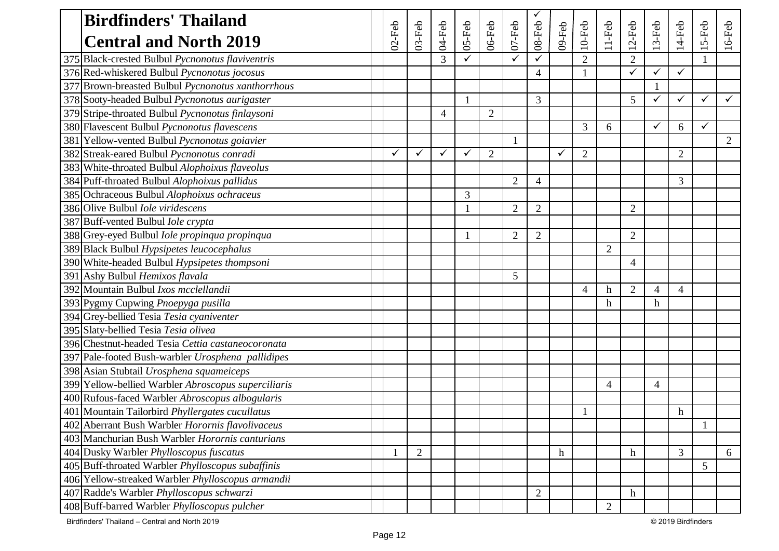| <b>Birdfinders' Thailand</b>                             |           |                |                |        |                |                |                          |        |                |                |                |              |                |              |                |
|----------------------------------------------------------|-----------|----------------|----------------|--------|----------------|----------------|--------------------------|--------|----------------|----------------|----------------|--------------|----------------|--------------|----------------|
| <b>Central and North 2019</b>                            | $02$ -Feb | $03$ -Feb      | 04-Feb         | 05-Feb | $06$ -Feb      | $07 - Feb$     | 08-Feb                   | 09-Feb | $10$ -Feb      | $11-Feb$       | $12$ -Feb      | $3-Feb$      | $14$ -Feb      | $15-Feb$     | $16$ -Feb      |
| 375 Black-crested Bulbul Pycnonotus flaviventris         |           |                | 3              |        |                |                | ✓                        |        | $\overline{2}$ |                | $\overline{2}$ |              |                |              |                |
| 376 Red-whiskered Bulbul Pycnonotus jocosus              |           |                |                |        |                |                | 4                        |        |                |                | ✓              | $\checkmark$ | ✓              |              |                |
| 377 Brown-breasted Bulbul Pycnonotus xanthorrhous        |           |                |                |        |                |                |                          |        |                |                |                |              |                |              |                |
| 378 Sooty-headed Bulbul Pycnonotus aurigaster            |           |                |                |        |                |                | 3                        |        |                |                | 5              | $\checkmark$ | ✓              | $\checkmark$ | ✓              |
| 379 Stripe-throated Bulbul Pycnonotus finlaysoni         |           |                | $\overline{4}$ |        | $\overline{2}$ |                |                          |        |                |                |                |              |                |              |                |
| 380 Flavescent Bulbul Pycnonotus flavescens              |           |                |                |        |                |                |                          |        | 3              | 6              |                | $\checkmark$ | 6              | $\checkmark$ |                |
| 381 Yellow-vented Bulbul Pycnonotus goiavier             |           |                |                |        |                |                |                          |        |                |                |                |              |                |              | $\overline{2}$ |
| 382 Streak-eared Bulbul Pycnonotus conradi               | ✓         | ✓              | $\checkmark$   | ✓      | $\overline{2}$ |                |                          | ✓      | $\overline{2}$ |                |                |              | $\overline{2}$ |              |                |
| 383 White-throated Bulbul Alophoixus flaveolus           |           |                |                |        |                |                |                          |        |                |                |                |              |                |              |                |
| 384 Puff-throated Bulbul Alophoixus pallidus             |           |                |                |        |                | 2              | $\overline{\mathcal{A}}$ |        |                |                |                |              | 3              |              |                |
| 385 Ochraceous Bulbul Alophoixus ochraceus               |           |                |                | 3      |                |                |                          |        |                |                |                |              |                |              |                |
| 386 Olive Bulbul <i>Iole viridescens</i>                 |           |                |                |        |                | $\overline{2}$ | $\overline{2}$           |        |                |                | $\overline{2}$ |              |                |              |                |
| 387 Buff-vented Bulbul Iole crypta                       |           |                |                |        |                |                |                          |        |                |                |                |              |                |              |                |
| 388 Grey-eyed Bulbul Iole propinqua propinqua            |           |                |                |        |                | $\overline{2}$ | $\overline{2}$           |        |                |                | $\overline{2}$ |              |                |              |                |
| 389 Black Bulbul Hypsipetes leucocephalus                |           |                |                |        |                |                |                          |        |                | $\overline{2}$ |                |              |                |              |                |
| 390 White-headed Bulbul Hypsipetes thompsoni             |           |                |                |        |                |                |                          |        |                |                | $\overline{4}$ |              |                |              |                |
| 391 Ashy Bulbul Hemixos flavala                          |           |                |                |        |                | 5              |                          |        |                |                |                |              |                |              |                |
| 392 Mountain Bulbul Ixos mcclellandii                    |           |                |                |        |                |                |                          |        | $\overline{4}$ | $\mathbf h$    | $\overline{2}$ | 4            | $\overline{4}$ |              |                |
| 393 Pygmy Cupwing Pnoepyga pusilla                       |           |                |                |        |                |                |                          |        |                | h              |                | h            |                |              |                |
| 394 Grey-bellied Tesia Tesia cyaniventer                 |           |                |                |        |                |                |                          |        |                |                |                |              |                |              |                |
| 395 Slaty-bellied Tesia Tesia olivea                     |           |                |                |        |                |                |                          |        |                |                |                |              |                |              |                |
| 396 Chestnut-headed Tesia Cettia castaneocoronata        |           |                |                |        |                |                |                          |        |                |                |                |              |                |              |                |
| 397 Pale-footed Bush-warbler Urosphena pallidipes        |           |                |                |        |                |                |                          |        |                |                |                |              |                |              |                |
| 398 Asian Stubtail Urosphena squameiceps                 |           |                |                |        |                |                |                          |        |                |                |                |              |                |              |                |
| 399 Yellow-bellied Warbler Abroscopus superciliaris      |           |                |                |        |                |                |                          |        |                | $\overline{4}$ |                | 4            |                |              |                |
| 400 Rufous-faced Warbler Abroscopus albogularis          |           |                |                |        |                |                |                          |        |                |                |                |              |                |              |                |
| 401 Mountain Tailorbird Phyllergates cucullatus          |           |                |                |        |                |                |                          |        |                |                |                |              | h              |              |                |
| 402 Aberrant Bush Warbler Horornis flavolivaceus         |           |                |                |        |                |                |                          |        |                |                |                |              |                |              |                |
| 403 Manchurian Bush Warbler Horornis canturians          |           |                |                |        |                |                |                          |        |                |                |                |              |                |              |                |
| 404 Dusky Warbler Phylloscopus fuscatus                  |           | $\overline{2}$ |                |        |                |                |                          | h      |                |                | $\mathbf h$    |              | 3              |              | 6              |
| 405 Buff-throated Warbler <i>Phylloscopus subaffinis</i> |           |                |                |        |                |                |                          |        |                |                |                |              |                | 5            |                |
| 406 Yellow-streaked Warbler Phylloscopus armandii        |           |                |                |        |                |                |                          |        |                |                |                |              |                |              |                |
| 407 Radde's Warbler Phylloscopus schwarzi                |           |                |                |        |                |                | $\overline{2}$           |        |                |                | $\mathbf h$    |              |                |              |                |
| 408 Buff-barred Warbler Phylloscopus pulcher             |           |                |                |        |                |                |                          |        |                | $\overline{2}$ |                |              |                |              |                |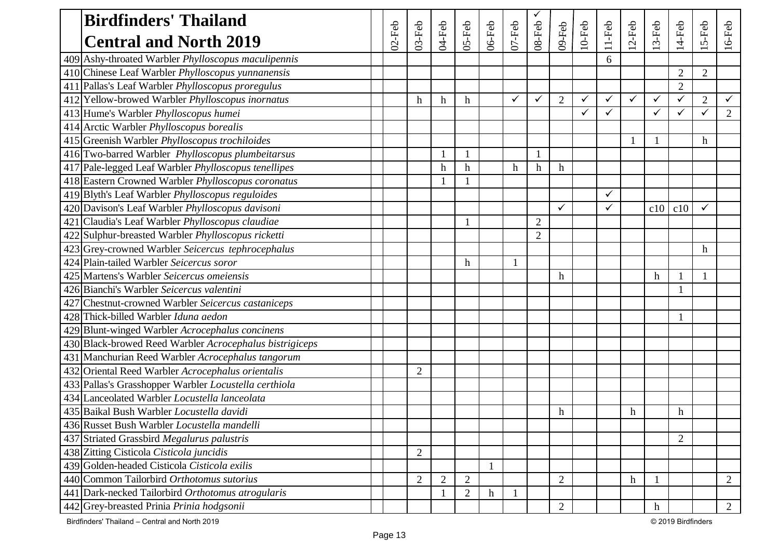| <b>Birdfinders' Thailand</b>                            |           |                |                           |                           |           |              |                |                |              |              |              |                           |                |                  |                |
|---------------------------------------------------------|-----------|----------------|---------------------------|---------------------------|-----------|--------------|----------------|----------------|--------------|--------------|--------------|---------------------------|----------------|------------------|----------------|
| <b>Central and North 2019</b>                           | $02$ -Feb | $03-Feb$       | 04-Feb                    | $05$ -Feb                 | $06$ -Feb | $07$ -Feb    | $08$ -Feb      | 09-Feb         | $10$ -Feb    | $11-Feb$     | $2-Feb$      | $3-Feb$                   | 14-Feb         | 5-Feb            | 6-Feb          |
| 409 Ashy-throated Warbler Phylloscopus maculipennis     |           |                |                           |                           |           |              |                |                |              | 6            |              |                           |                |                  |                |
| 410 Chinese Leaf Warbler Phylloscopus yunnanensis       |           |                |                           |                           |           |              |                |                |              |              |              |                           | $\overline{2}$ | $\overline{2}$   |                |
| 411 Pallas's Leaf Warbler Phylloscopus proregulus       |           |                |                           |                           |           |              |                |                |              |              |              |                           | $\mathbf{2}$   |                  |                |
| 412 Yellow-browed Warbler Phylloscopus inornatus        |           | $\mathbf h$    | $\boldsymbol{\mathrm{h}}$ | $\mathbf h$               |           | $\checkmark$ | ✓              | $\overline{2}$ | $\checkmark$ | $\checkmark$ | $\checkmark$ | ✓                         | $\checkmark$   | $\overline{2}$   |                |
| 413 Hume's Warbler Phylloscopus humei                   |           |                |                           |                           |           |              |                |                | ✓            | $\checkmark$ |              | ✓                         | ✓              | ✓                | $\overline{2}$ |
| 414 Arctic Warbler Phylloscopus borealis                |           |                |                           |                           |           |              |                |                |              |              |              |                           |                |                  |                |
| 415 Greenish Warbler Phylloscopus trochiloides          |           |                |                           |                           |           |              |                |                |              |              |              |                           |                | h                |                |
| 416 Two-barred Warbler Phylloscopus plumbeitarsus       |           |                |                           |                           |           |              |                |                |              |              |              |                           |                |                  |                |
| 417 Pale-legged Leaf Warbler Phylloscopus tenellipes    |           |                | h                         | $\boldsymbol{\mathrm{h}}$ |           | h            | $\mathbf h$    | h              |              |              |              |                           |                |                  |                |
| 418 Eastern Crowned Warbler Phylloscopus coronatus      |           |                |                           |                           |           |              |                |                |              |              |              |                           |                |                  |                |
| 419 Blyth's Leaf Warbler Phylloscopus reguloides        |           |                |                           |                           |           |              |                |                |              | $\checkmark$ |              |                           |                |                  |                |
| 420 Davison's Leaf Warbler Phylloscopus davisoni        |           |                |                           |                           |           |              |                | $\checkmark$   |              | $\checkmark$ |              | c10                       | c10            | $\checkmark$     |                |
| 421 Claudia's Leaf Warbler Phylloscopus claudiae        |           |                |                           |                           |           |              | $\overline{2}$ |                |              |              |              |                           |                |                  |                |
| 422 Sulphur-breasted Warbler Phylloscopus ricketti      |           |                |                           |                           |           |              | $\overline{2}$ |                |              |              |              |                           |                |                  |                |
| 423 Grey-crowned Warbler Seicercus tephrocephalus       |           |                |                           |                           |           |              |                |                |              |              |              |                           |                | $\boldsymbol{h}$ |                |
| 424 Plain-tailed Warbler Seicercus soror                |           |                |                           | $\mathbf h$               |           |              |                |                |              |              |              |                           |                |                  |                |
| 425 Martens's Warbler Seicercus omeiensis               |           |                |                           |                           |           |              |                | h              |              |              |              | h                         |                |                  |                |
| 426 Bianchi's Warbler Seicercus valentini               |           |                |                           |                           |           |              |                |                |              |              |              |                           |                |                  |                |
| 427 Chestnut-crowned Warbler Seicercus castaniceps      |           |                |                           |                           |           |              |                |                |              |              |              |                           |                |                  |                |
| 428 Thick-billed Warbler Iduna aedon                    |           |                |                           |                           |           |              |                |                |              |              |              |                           |                |                  |                |
| 429 Blunt-winged Warbler Acrocephalus concinens         |           |                |                           |                           |           |              |                |                |              |              |              |                           |                |                  |                |
| 430 Black-browed Reed Warbler Acrocephalus bistrigiceps |           |                |                           |                           |           |              |                |                |              |              |              |                           |                |                  |                |
| 431 Manchurian Reed Warbler Acrocephalus tangorum       |           |                |                           |                           |           |              |                |                |              |              |              |                           |                |                  |                |
| 432 Oriental Reed Warbler Acrocephalus orientalis       |           | $\overline{2}$ |                           |                           |           |              |                |                |              |              |              |                           |                |                  |                |
| 433 Pallas's Grasshopper Warbler Locustella certhiola   |           |                |                           |                           |           |              |                |                |              |              |              |                           |                |                  |                |
| 434 Lanceolated Warbler Locustella lanceolata           |           |                |                           |                           |           |              |                |                |              |              |              |                           |                |                  |                |
| 435 Baikal Bush Warbler Locustella davidi               |           |                |                           |                           |           |              |                | h              |              |              | h            |                           | h              |                  |                |
| 436 Russet Bush Warbler Locustella mandelli             |           |                |                           |                           |           |              |                |                |              |              |              |                           |                |                  |                |
| 437 Striated Grassbird Megalurus palustris              |           |                |                           |                           |           |              |                |                |              |              |              |                           | $\overline{2}$ |                  |                |
| 438 Zitting Cisticola Cisticola juncidis                |           | $\overline{2}$ |                           |                           |           |              |                |                |              |              |              |                           |                |                  |                |
| 439 Golden-headed Cisticola Cisticola exilis            |           |                |                           |                           |           |              |                |                |              |              |              |                           |                |                  |                |
| 440 Common Tailorbird Orthotomus sutorius               |           | $\overline{2}$ | $\overline{2}$            | $\overline{2}$            |           |              |                | $\overline{2}$ |              |              | $\mathbf h$  |                           |                |                  | 2              |
| 441 Dark-necked Tailorbird Orthotomus atrogularis       |           |                |                           | 2                         | h         |              |                |                |              |              |              |                           |                |                  |                |
| 442 Grey-breasted Prinia Prinia hodgsonii               |           |                |                           |                           |           |              |                | $\overline{2}$ |              |              |              | $\boldsymbol{\mathrm{h}}$ |                |                  | $\overline{2}$ |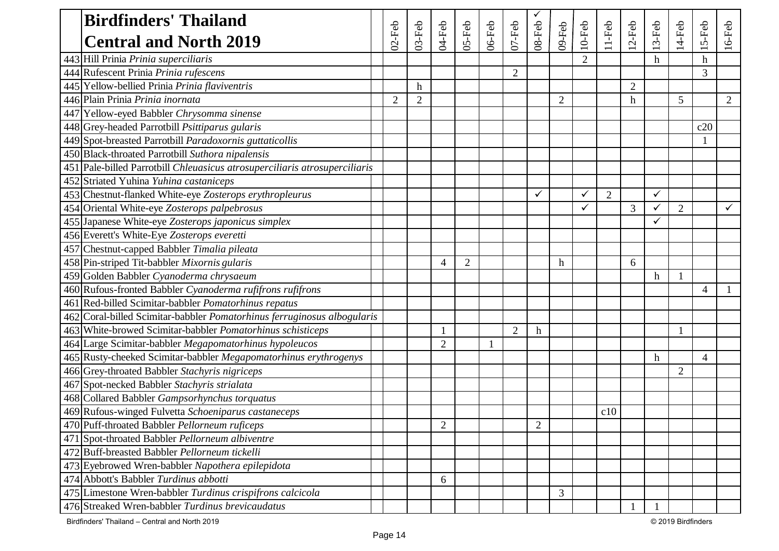| <b>Birdfinders' Thailand</b>                                               |                |                |                |                |           |                |                  |                |           |                |                |              |                |                           |                |
|----------------------------------------------------------------------------|----------------|----------------|----------------|----------------|-----------|----------------|------------------|----------------|-----------|----------------|----------------|--------------|----------------|---------------------------|----------------|
| <b>Central and North 2019</b>                                              | $02$ -Feb      | $03$ -Feb      | 04-Feb         | 05-Feb         | $06$ -Feb | $07$ -Feb      | $08$ -Feb        | 09-Feb         | $10$ -Feb | $11-Feb$       | $12$ -Feb      | 3-Feb        | $14$ -Feb      | $15-Feb$                  | $16$ -Feb      |
| 443 Hill Prinia Prinia superciliaris                                       |                |                |                |                |           |                |                  |                |           |                |                | h            |                | $\boldsymbol{\mathrm{h}}$ |                |
| 444 Rufescent Prinia Prinia rufescens                                      |                |                |                |                |           | $\overline{2}$ |                  |                |           |                |                |              |                | 3                         |                |
| 445 Yellow-bellied Prinia Prinia flaviventris                              |                | h              |                |                |           |                |                  |                |           |                | $\overline{2}$ |              |                |                           |                |
| 446 Plain Prinia Prinia inornata                                           | $\overline{2}$ | $\overline{2}$ |                |                |           |                |                  | $\overline{2}$ |           |                | h              |              | 5              |                           | $\overline{2}$ |
| 447 Yellow-eyed Babbler Chrysomma sinense                                  |                |                |                |                |           |                |                  |                |           |                |                |              |                |                           |                |
| 448 Grey-headed Parrotbill Psittiparus gularis                             |                |                |                |                |           |                |                  |                |           |                |                |              |                | c20                       |                |
| 449 Spot-breasted Parrotbill Paradoxornis guttaticollis                    |                |                |                |                |           |                |                  |                |           |                |                |              |                |                           |                |
| 450 Black-throated Parrotbill Suthora nipalensis                           |                |                |                |                |           |                |                  |                |           |                |                |              |                |                           |                |
| 451 Pale-billed Parrotbill Chleuasicus atrosuperciliaris atrosuperciliaris |                |                |                |                |           |                |                  |                |           |                |                |              |                |                           |                |
| 452 Striated Yuhina Yuhina castaniceps                                     |                |                |                |                |           |                |                  |                |           |                |                |              |                |                           |                |
| 453 Chestnut-flanked White-eye Zosterops erythropleurus                    |                |                |                |                |           |                | ✓                |                | ✓         | $\overline{2}$ |                | ✓            |                |                           |                |
| 454 Oriental White-eye Zosterops palpebrosus                               |                |                |                |                |           |                |                  |                | ✓         |                | 3              | $\checkmark$ | $\overline{2}$ |                           |                |
| 455 Japanese White-eye Zosterops japonicus simplex                         |                |                |                |                |           |                |                  |                |           |                |                |              |                |                           |                |
| 456 Everett's White-Eye Zosterops everetti                                 |                |                |                |                |           |                |                  |                |           |                |                |              |                |                           |                |
| 457 Chestnut-capped Babbler Timalia pileata                                |                |                |                |                |           |                |                  |                |           |                |                |              |                |                           |                |
| 458 Pin-striped Tit-babbler Mixornis gularis                               |                |                | 4              | $\overline{2}$ |           |                |                  | h              |           |                | 6              |              |                |                           |                |
| 459 Golden Babbler Cyanoderma chrysaeum                                    |                |                |                |                |           |                |                  |                |           |                |                | h            |                |                           |                |
| 460 Rufous-fronted Babbler Cyanoderma rufifrons rufifrons                  |                |                |                |                |           |                |                  |                |           |                |                |              |                | $\Delta$                  |                |
| 461 Red-billed Scimitar-babbler Pomatorhinus repatus                       |                |                |                |                |           |                |                  |                |           |                |                |              |                |                           |                |
| 462 Coral-billed Scimitar-babbler Pomatorhinus ferruginosus albogularis    |                |                |                |                |           |                |                  |                |           |                |                |              |                |                           |                |
| 463 White-browed Scimitar-babbler <i>Pomatorhinus schisticeps</i>          |                |                |                |                |           | $\overline{2}$ | $\boldsymbol{h}$ |                |           |                |                |              |                |                           |                |
| 464 Large Scimitar-babbler Megapomatorhinus hypoleucos                     |                |                | $\overline{2}$ |                | 1         |                |                  |                |           |                |                |              |                |                           |                |
| 465 Rusty-cheeked Scimitar-babbler Megapomatorhinus erythrogenys           |                |                |                |                |           |                |                  |                |           |                |                | h            |                | $\boldsymbol{\varDelta}$  |                |
| 466 Grey-throated Babbler Stachyris nigriceps                              |                |                |                |                |           |                |                  |                |           |                |                |              | $\overline{2}$ |                           |                |
| 467 Spot-necked Babbler Stachyris strialata                                |                |                |                |                |           |                |                  |                |           |                |                |              |                |                           |                |
| 468 Collared Babbler Gampsorhynchus torquatus                              |                |                |                |                |           |                |                  |                |           |                |                |              |                |                           |                |
| 469 Rufous-winged Fulvetta Schoeniparus castaneceps                        |                |                |                |                |           |                |                  |                |           | c10            |                |              |                |                           |                |
| 470 Puff-throated Babbler Pellorneum ruficeps                              |                |                | $\sqrt{2}$     |                |           |                | $\mathfrak{2}$   |                |           |                |                |              |                |                           |                |
| 471 Spot-throated Babbler Pellorneum albiventre                            |                |                |                |                |           |                |                  |                |           |                |                |              |                |                           |                |
| 472 Buff-breasted Babbler Pellorneum tickelli                              |                |                |                |                |           |                |                  |                |           |                |                |              |                |                           |                |
| 473 Eyebrowed Wren-babbler Napothera epilepidota                           |                |                |                |                |           |                |                  |                |           |                |                |              |                |                           |                |
| 474 Abbott's Babbler Turdinus abbotti                                      |                |                | 6              |                |           |                |                  |                |           |                |                |              |                |                           |                |
| 475 Limestone Wren-babbler Turdinus crispifrons calcicola                  |                |                |                |                |           |                |                  | 3              |           |                |                |              |                |                           |                |
| 476 Streaked Wren-babbler Turdinus brevicaudatus                           |                |                |                |                |           |                |                  |                |           |                |                |              |                |                           |                |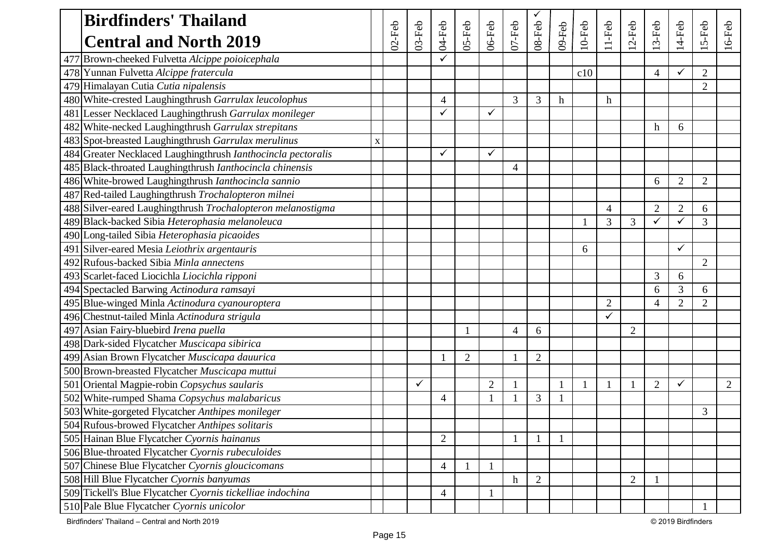| <b>Birdfinders' Thailand</b>                                        |   |           |           |                          |                |                |           |                |        |                |                |                |                |                |                |         |
|---------------------------------------------------------------------|---|-----------|-----------|--------------------------|----------------|----------------|-----------|----------------|--------|----------------|----------------|----------------|----------------|----------------|----------------|---------|
| <b>Central and North 2019</b>                                       |   | $02$ -Feb | $03$ -Feb | $04$ -Feb                | 05-Feb         | 06-Feb         | $07$ -Feb | $08$ -Feb      | 09-Feb | $10$ -Feb      | $11-Feb$       | $2-Feb$        | $3-Feb$        | 14-Feb         | 5-Feb          | $6-Feb$ |
| Brown-cheeked Fulvetta Alcippe poioicephala<br>477                  |   |           |           | ✓                        |                |                |           |                |        |                |                |                |                |                |                |         |
| 478 Yunnan Fulvetta Alcippe fratercula                              |   |           |           |                          |                |                |           |                |        | c10            |                |                | 4              | ✓              | $\overline{2}$ |         |
| Himalayan Cutia Cutia nipalensis<br>479                             |   |           |           |                          |                |                |           |                |        |                |                |                |                |                | $\overline{2}$ |         |
| 480 White-crested Laughingthrush Garrulax leucolophus               |   |           |           | $\overline{\mathcal{A}}$ |                |                | 3         | 3              | h      |                | $\mathbf h$    |                |                |                |                |         |
| Lesser Necklaced Laughingthrush Garrulax monileger<br>481           |   |           |           | $\checkmark$             |                | ✓              |           |                |        |                |                |                |                |                |                |         |
| 482 White-necked Laughingthrush Garrulax strepitans                 |   |           |           |                          |                |                |           |                |        |                |                |                | h              | 6              |                |         |
| 483 Spot-breasted Laughingthrush Garrulax merulinus                 | X |           |           |                          |                |                |           |                |        |                |                |                |                |                |                |         |
| 484 Greater Necklaced Laughingthrush <i>Ianthocincla pectoralis</i> |   |           |           | $\checkmark$             |                |                |           |                |        |                |                |                |                |                |                |         |
| 485 Black-throated Laughingthrush Ianthocincla chinensis            |   |           |           |                          |                |                | 4         |                |        |                |                |                |                |                |                |         |
| 486 White-browed Laughingthrush <i>Ianthocincla sannio</i>          |   |           |           |                          |                |                |           |                |        |                |                |                | 6              | $\overline{2}$ | $\overline{2}$ |         |
| 487 Red-tailed Laughingthrush Trochalopteron milnei                 |   |           |           |                          |                |                |           |                |        |                |                |                |                |                |                |         |
| 488 Silver-eared Laughingthrush Trochalopteron melanostigma         |   |           |           |                          |                |                |           |                |        |                | $\overline{4}$ |                | $\overline{2}$ | $\overline{2}$ | 6              |         |
| 489 Black-backed Sibia Heterophasia melanoleuca                     |   |           |           |                          |                |                |           |                |        |                | 3              | 3              | ✓              | $\checkmark$   | 3              |         |
| 490 Long-tailed Sibia Heterophasia picaoides                        |   |           |           |                          |                |                |           |                |        |                |                |                |                |                |                |         |
| 491 Silver-eared Mesia Leiothrix argentauris                        |   |           |           |                          |                |                |           |                |        | 6              |                |                |                | ✓              |                |         |
| 492 Rufous-backed Sibia Minla annectens                             |   |           |           |                          |                |                |           |                |        |                |                |                |                |                | $\overline{2}$ |         |
| 493 Scarlet-faced Liocichla Liocichla ripponi                       |   |           |           |                          |                |                |           |                |        |                |                |                | 3              | 6              |                |         |
| 494 Spectacled Barwing Actinodura ramsayi                           |   |           |           |                          |                |                |           |                |        |                |                |                | 6              | 3              | 6              |         |
| 495 Blue-winged Minla Actinodura cyanouroptera                      |   |           |           |                          |                |                |           |                |        |                | $\overline{2}$ |                | 4              | $\overline{2}$ | $\overline{2}$ |         |
| 496 Chestnut-tailed Minla Actinodura strigula                       |   |           |           |                          |                |                |           |                |        |                | ✓              |                |                |                |                |         |
| 497<br>Asian Fairy-bluebird Irena puella                            |   |           |           |                          |                |                | 4         | 6              |        |                |                | $\overline{2}$ |                |                |                |         |
| 498 Dark-sided Flycatcher Muscicapa sibirica                        |   |           |           |                          |                |                |           |                |        |                |                |                |                |                |                |         |
| 499 Asian Brown Flycatcher Muscicapa dauurica                       |   |           |           |                          | $\overline{2}$ |                |           | $\overline{2}$ |        |                |                |                |                |                |                |         |
| 500 Brown-breasted Flycatcher Muscicapa muttui                      |   |           |           |                          |                |                |           |                |        |                |                |                |                |                |                |         |
| Oriental Magpie-robin Copsychus saularis<br>501                     |   |           | ✓         |                          |                | $\overline{2}$ |           |                |        | $\blacksquare$ |                |                | $\overline{2}$ | $\checkmark$   |                | 2       |
| 502<br>White-rumped Shama Copsychus malabaricus                     |   |           |           | 4                        |                |                |           | 3              |        |                |                |                |                |                |                |         |
| 503 White-gorgeted Flycatcher Anthipes monileger                    |   |           |           |                          |                |                |           |                |        |                |                |                |                |                | 3              |         |
| 504 Rufous-browed Flycatcher Anthipes solitaris                     |   |           |           |                          |                |                |           |                |        |                |                |                |                |                |                |         |
| 505 Hainan Blue Flycatcher Cyornis hainanus                         |   |           |           | $\overline{2}$           |                |                |           | 1              |        |                |                |                |                |                |                |         |
| 506 Blue-throated Flycatcher Cyornis rubeculoides                   |   |           |           |                          |                |                |           |                |        |                |                |                |                |                |                |         |
| 507 Chinese Blue Flycatcher Cyornis gloucicomans                    |   |           |           | $\overline{4}$           |                |                |           |                |        |                |                |                |                |                |                |         |
| 508 Hill Blue Flycatcher Cyornis banyumas                           |   |           |           |                          |                |                | h         | $\overline{2}$ |        |                |                | $\overline{2}$ |                |                |                |         |
| 509 Tickell's Blue Flycatcher Cyornis tickelliae indochina          |   |           |           | $\overline{4}$           |                |                |           |                |        |                |                |                |                |                |                |         |
| 510 Pale Blue Flycatcher Cyornis unicolor                           |   |           |           |                          |                |                |           |                |        |                |                |                |                |                |                |         |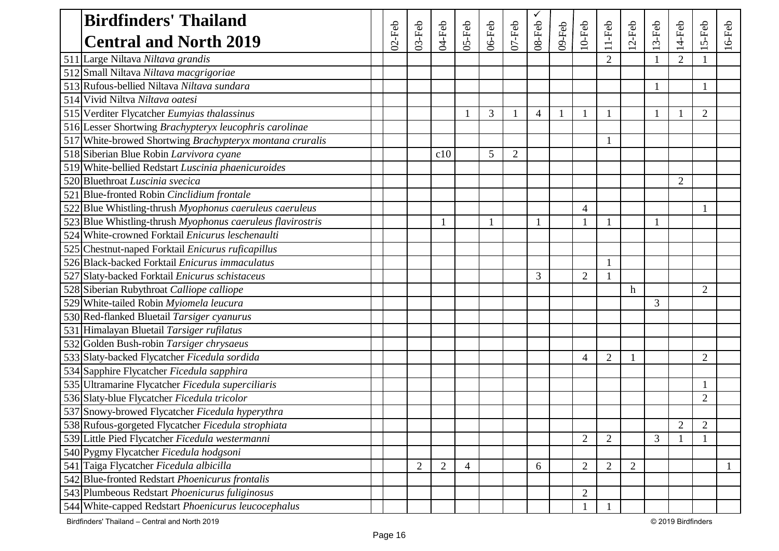| <b>Birdfinders' Thailand</b>                               |           |                |                |                |           |                |                |        |                |                |         |       |                |                |           |
|------------------------------------------------------------|-----------|----------------|----------------|----------------|-----------|----------------|----------------|--------|----------------|----------------|---------|-------|----------------|----------------|-----------|
| <b>Central and North 2019</b>                              | $02$ -Feb | $03$ -Feb      | 04-Feb         | 05-Feb         | $06$ -Feb | $07$ -Feb      | $08 - Feb$     | 09-Feb | $10$ -Feb      | $11-Feb$       | $2-Feb$ | 3-Feb | $14-Feb$       | $15-Feb$       | $16$ -Feb |
| 511 Large Niltava Niltava grandis                          |           |                |                |                |           |                |                |        |                | $\overline{2}$ |         |       | $\overline{2}$ |                |           |
| 512 Small Niltava Niltava macgrigoriae                     |           |                |                |                |           |                |                |        |                |                |         |       |                |                |           |
| 513 Rufous-bellied Niltava Niltava sundara                 |           |                |                |                |           |                |                |        |                |                |         |       |                |                |           |
| 514 Vivid Niltva Niltava oatesi                            |           |                |                |                |           |                |                |        |                |                |         |       |                |                |           |
| 515 Verditer Flycatcher Eumyias thalassinus                |           |                |                |                | 3         |                | $\overline{4}$ |        |                |                |         | 1     |                | $\overline{2}$ |           |
| 516 Lesser Shortwing Brachypteryx leucophris carolinae     |           |                |                |                |           |                |                |        |                |                |         |       |                |                |           |
| 517 White-browed Shortwing Brachypteryx montana cruralis   |           |                |                |                |           |                |                |        |                |                |         |       |                |                |           |
| 518 Siberian Blue Robin Larvivora cyane                    |           |                | c10            |                | 5         | $\overline{2}$ |                |        |                |                |         |       |                |                |           |
| 519 White-bellied Redstart Luscinia phaenicuroides         |           |                |                |                |           |                |                |        |                |                |         |       |                |                |           |
| 520 Bluethroat Luscinia svecica                            |           |                |                |                |           |                |                |        |                |                |         |       | $\overline{2}$ |                |           |
| 521 Blue-fronted Robin Cinclidium frontale                 |           |                |                |                |           |                |                |        |                |                |         |       |                |                |           |
| 522 Blue Whistling-thrush Myophonus caeruleus caeruleus    |           |                |                |                |           |                |                |        | $\overline{4}$ |                |         |       |                |                |           |
| 523 Blue Whistling-thrush Myophonus caeruleus flavirostris |           |                |                |                | 1         |                | $\mathbf{1}$   |        |                | 1              |         | 1     |                |                |           |
| 524 White-crowned Forktail Enicurus leschenaulti           |           |                |                |                |           |                |                |        |                |                |         |       |                |                |           |
| 525 Chestnut-naped Forktail Enicurus ruficapillus          |           |                |                |                |           |                |                |        |                |                |         |       |                |                |           |
| 526 Black-backed Forktail Enicurus immaculatus             |           |                |                |                |           |                |                |        |                |                |         |       |                |                |           |
| 527 Slaty-backed Forktail Enicurus schistaceus             |           |                |                |                |           |                | 3              |        | $\overline{2}$ | $\mathbf{1}$   |         |       |                |                |           |
| 528 Siberian Rubythroat Calliope calliope                  |           |                |                |                |           |                |                |        |                |                | h       |       |                | $\overline{2}$ |           |
| 529 White-tailed Robin Myiomela leucura                    |           |                |                |                |           |                |                |        |                |                |         | 3     |                |                |           |
| 530 Red-flanked Bluetail Tarsiger cyanurus                 |           |                |                |                |           |                |                |        |                |                |         |       |                |                |           |
| 531 Himalayan Bluetail Tarsiger rufilatus                  |           |                |                |                |           |                |                |        |                |                |         |       |                |                |           |
| 532 Golden Bush-robin Tarsiger chrysaeus                   |           |                |                |                |           |                |                |        |                |                |         |       |                |                |           |
| 533 Slaty-backed Flycatcher Ficedula sordida               |           |                |                |                |           |                |                |        | $\overline{4}$ | $\overline{2}$ |         |       |                | $\overline{2}$ |           |
| 534 Sapphire Flycatcher Ficedula sapphira                  |           |                |                |                |           |                |                |        |                |                |         |       |                |                |           |
| 535 Ultramarine Flycatcher Ficedula superciliaris          |           |                |                |                |           |                |                |        |                |                |         |       |                |                |           |
| 536 Slaty-blue Flycatcher Ficedula tricolor                |           |                |                |                |           |                |                |        |                |                |         |       |                | $\overline{2}$ |           |
| 537 Snowy-browed Flycatcher Ficedula hyperythra            |           |                |                |                |           |                |                |        |                |                |         |       |                |                |           |
| 538 Rufous-gorgeted Flycatcher Ficedula strophiata         |           |                |                |                |           |                |                |        |                |                |         |       | $\overline{2}$ | $\overline{2}$ |           |
| 539 Little Pied Flycatcher Ficedula westermanni            |           |                |                |                |           |                |                |        | $\overline{2}$ | 2              |         | 3     |                |                |           |
| 540 Pygmy Flycatcher Ficedula hodgsoni                     |           |                |                |                |           |                |                |        |                |                |         |       |                |                |           |
| 541 Taiga Flycatcher Ficedula albicilla                    |           | $\overline{2}$ | $\overline{2}$ | $\overline{4}$ |           |                | 6              |        | $\overline{2}$ | $\overline{2}$ | 2       |       |                |                |           |
| 542 Blue-fronted Redstart Phoenicurus frontalis            |           |                |                |                |           |                |                |        |                |                |         |       |                |                |           |
| 543 Plumbeous Redstart Phoenicurus fuliginosus             |           |                |                |                |           |                |                |        | $\overline{2}$ |                |         |       |                |                |           |
| 544 White-capped Redstart Phoenicurus leucocephalus        |           |                |                |                |           |                |                |        |                |                |         |       |                |                |           |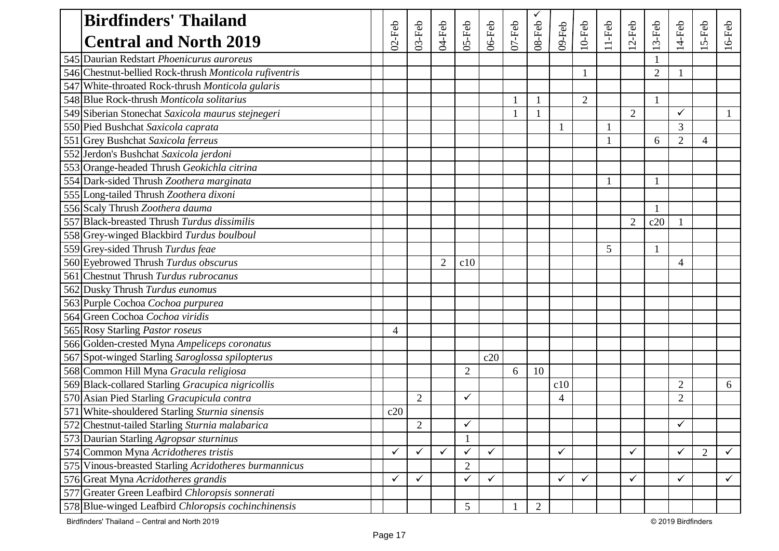| <b>Birdfinders' Thailand</b>                             |           |                |                |                |              |           |                |                |                |          |                |                |                |       |              |
|----------------------------------------------------------|-----------|----------------|----------------|----------------|--------------|-----------|----------------|----------------|----------------|----------|----------------|----------------|----------------|-------|--------------|
| <b>Central and North 2019</b>                            | $02$ -Feb | $03$ -Feb      | 04-Feb         | 05-Feb         | $06$ -Feb    | $07$ -Feb | $08 - Feb$     | 09-Feb         | $10$ -Feb      | $11-Feb$ | $2-Feb$        | $3-Feb$        | 14-Feb         | 5-Feb | $16$ -Feb    |
| 545 Daurian Redstart Phoenicurus auroreus                |           |                |                |                |              |           |                |                |                |          |                |                |                |       |              |
| 546 Chestnut-bellied Rock-thrush Monticola rufiventris   |           |                |                |                |              |           |                |                |                |          |                | $\overline{2}$ |                |       |              |
| 547 White-throated Rock-thrush Monticola gularis         |           |                |                |                |              |           |                |                |                |          |                |                |                |       |              |
| 548 Blue Rock-thrush Monticola solitarius                |           |                |                |                |              |           | -1             |                | $\overline{2}$ |          |                | 1              |                |       |              |
| 549 Siberian Stonechat Saxicola maurus stejnegeri        |           |                |                |                |              |           |                |                |                |          | $\overline{2}$ |                | $\checkmark$   |       |              |
| 550 Pied Bushchat Saxicola caprata                       |           |                |                |                |              |           |                |                |                |          |                |                | 3              |       |              |
| 551 Grey Bushchat Saxicola ferreus                       |           |                |                |                |              |           |                |                |                |          |                | 6              | $\overline{2}$ | 4     |              |
| 552 Jerdon's Bushchat Saxicola jerdoni                   |           |                |                |                |              |           |                |                |                |          |                |                |                |       |              |
| 553 Orange-headed Thrush Geokichla citrina               |           |                |                |                |              |           |                |                |                |          |                |                |                |       |              |
| 554 Dark-sided Thrush Zoothera marginata                 |           |                |                |                |              |           |                |                |                |          |                |                |                |       |              |
| 555 Long-tailed Thrush Zoothera dixoni                   |           |                |                |                |              |           |                |                |                |          |                |                |                |       |              |
| 556 Scaly Thrush Zoothera dauma                          |           |                |                |                |              |           |                |                |                |          |                |                |                |       |              |
| 557 Black-breasted Thrush Turdus dissimilis              |           |                |                |                |              |           |                |                |                |          | $\overline{2}$ | c20            |                |       |              |
| 558 Grey-winged Blackbird Turdus boulboul                |           |                |                |                |              |           |                |                |                |          |                |                |                |       |              |
| 559 Grey-sided Thrush Turdus feae                        |           |                |                |                |              |           |                |                |                | 5        |                |                |                |       |              |
| 560 Eyebrowed Thrush Turdus obscurus                     |           |                | $\overline{2}$ | c10            |              |           |                |                |                |          |                |                | 4              |       |              |
| 561 Chestnut Thrush Turdus rubrocanus                    |           |                |                |                |              |           |                |                |                |          |                |                |                |       |              |
| 562 Dusky Thrush Turdus eunomus                          |           |                |                |                |              |           |                |                |                |          |                |                |                |       |              |
| 563 Purple Cochoa Cochoa purpurea                        |           |                |                |                |              |           |                |                |                |          |                |                |                |       |              |
| 564 Green Cochoa Cochoa viridis                          |           |                |                |                |              |           |                |                |                |          |                |                |                |       |              |
| 565 Rosy Starling Pastor roseus                          | 4         |                |                |                |              |           |                |                |                |          |                |                |                |       |              |
| 566 Golden-crested Myna Ampeliceps coronatus             |           |                |                |                |              |           |                |                |                |          |                |                |                |       |              |
| 567 Spot-winged Starling Saroglossa spilopterus          |           |                |                |                | c20          |           |                |                |                |          |                |                |                |       |              |
| 568 Common Hill Myna Gracula religiosa                   |           |                |                | $\overline{2}$ |              | 6         | 10             |                |                |          |                |                |                |       |              |
| 569 Black-collared Starling Gracupica nigricollis        |           |                |                |                |              |           |                | c10            |                |          |                |                | $\overline{2}$ |       | 6            |
| 570 Asian Pied Starling Gracupicula contra               |           | $\overline{2}$ |                | ✓              |              |           |                | $\overline{4}$ |                |          |                |                | $\overline{2}$ |       |              |
| 571 White-shouldered Starling Sturnia sinensis           | c20       |                |                |                |              |           |                |                |                |          |                |                |                |       |              |
| 572 Chestnut-tailed Starling Sturnia malabarica          |           | $\mathbf{2}$   |                | $\sqrt{ }$     |              |           |                |                |                |          |                |                | $\mathcal{I}$  |       |              |
| 573 Daurian Starling Agropsar sturninus                  |           |                |                |                |              |           |                |                |                |          |                |                |                |       |              |
| 574 Common Myna Acridotheres tristis                     |           | ✓              | $\checkmark$   | ✓              | $\checkmark$ |           |                | $\checkmark$   |                |          | $\checkmark$   |                | $\checkmark$   | 2     | ✓            |
| Vinous-breasted Starling Acridotheres burmannicus<br>575 |           |                |                | $\overline{2}$ |              |           |                |                |                |          |                |                |                |       |              |
| 576 Great Myna Acridotheres grandis                      |           | ✓              |                | ✓              | ✓            |           |                | ✓              | $\checkmark$   |          | $\checkmark$   |                | $\checkmark$   |       | $\checkmark$ |
| Greater Green Leafbird Chloropsis sonnerati<br>577       |           |                |                |                |              |           |                |                |                |          |                |                |                |       |              |
| 578 Blue-winged Leafbird Chloropsis cochinchinensis      |           |                |                | 5              |              |           | $\overline{2}$ |                |                |          |                |                |                |       |              |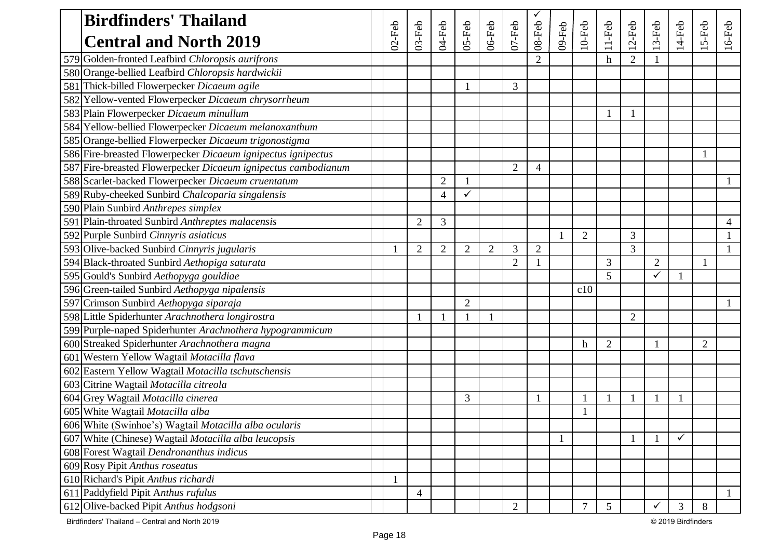| <b>Birdfinders' Thailand</b>                                  |           |                |                |                |                |                |                |        |                |                |                |                |           |                |           |
|---------------------------------------------------------------|-----------|----------------|----------------|----------------|----------------|----------------|----------------|--------|----------------|----------------|----------------|----------------|-----------|----------------|-----------|
| <b>Central and North 2019</b>                                 | $02$ -Feb | $03-Feb$       | 04-Feb         | 05-Feb         | $06$ -Feb      | $07 - Feb$     | 08-Feb         | 09-Feb | $10$ -Feb      | $11-Feb$       | $12$ -Feb      | 3-Feb          | $14$ -Feb | 5-Feb          | $16$ -Feb |
| 579 Golden-fronted Leafbird Chloropsis aurifrons              |           |                |                |                |                |                |                |        |                | $\mathbf h$    | $\overline{2}$ |                |           |                |           |
| 580 Orange-bellied Leafbird Chloropsis hardwickii             |           |                |                |                |                |                |                |        |                |                |                |                |           |                |           |
| 581 Thick-billed Flowerpecker Dicaeum agile                   |           |                |                |                |                | 3              |                |        |                |                |                |                |           |                |           |
| 582 Yellow-vented Flowerpecker Dicaeum chrysorrheum           |           |                |                |                |                |                |                |        |                |                |                |                |           |                |           |
| 583 Plain Flowerpecker Dicaeum minullum                       |           |                |                |                |                |                |                |        |                |                |                |                |           |                |           |
| 584 Yellow-bellied Flowerpecker Dicaeum melanoxanthum         |           |                |                |                |                |                |                |        |                |                |                |                |           |                |           |
| 585 Orange-bellied Flowerpecker Dicaeum trigonostigma         |           |                |                |                |                |                |                |        |                |                |                |                |           |                |           |
| 586 Fire-breasted Flowerpecker Dicaeum ignipectus ignipectus  |           |                |                |                |                |                |                |        |                |                |                |                |           |                |           |
| 587 Fire-breasted Flowerpecker Dicaeum ignipectus cambodianum |           |                |                |                |                | $\overline{2}$ | $\overline{4}$ |        |                |                |                |                |           |                |           |
| 588 Scarlet-backed Flowerpecker Dicaeum cruentatum            |           |                | $\overline{2}$ |                |                |                |                |        |                |                |                |                |           |                |           |
| 589 Ruby-cheeked Sunbird Chalcoparia singalensis              |           |                | $\overline{4}$ | ✓              |                |                |                |        |                |                |                |                |           |                |           |
| 590 Plain Sunbird Anthrepes simplex                           |           |                |                |                |                |                |                |        |                |                |                |                |           |                |           |
| 591 Plain-throated Sunbird Anthreptes malacensis              |           | $\overline{2}$ | 3              |                |                |                |                |        |                |                |                |                |           |                | 4         |
| 592 Purple Sunbird Cinnyris asiaticus                         |           |                |                |                |                |                |                |        | $\overline{2}$ |                | 3              |                |           |                |           |
| 593 Olive-backed Sunbird Cinnyris jugularis                   |           | $\overline{2}$ | $\overline{2}$ | $\overline{2}$ | $\overline{2}$ | 3              | $\overline{2}$ |        |                |                | 3              |                |           |                |           |
| 594 Black-throated Sunbird Aethopiga saturata                 |           |                |                |                |                | $\overline{2}$ |                |        |                | 3              |                | $\overline{2}$ |           | $\mathbf{1}$   |           |
| 595 Gould's Sunbird Aethopyga gouldiae                        |           |                |                |                |                |                |                |        |                | 5 <sup>5</sup> |                |                |           |                |           |
| 596 Green-tailed Sunbird Aethopyga nipalensis                 |           |                |                |                |                |                |                |        | c10            |                |                |                |           |                |           |
| 597 Crimson Sunbird Aethopyga siparaja                        |           |                |                | $\overline{2}$ |                |                |                |        |                |                |                |                |           |                |           |
| 598 Little Spiderhunter Arachnothera longirostra              |           |                |                |                |                |                |                |        |                |                | $\overline{2}$ |                |           |                |           |
| 599 Purple-naped Spiderhunter Arachnothera hypogrammicum      |           |                |                |                |                |                |                |        |                |                |                |                |           |                |           |
| 600 Streaked Spiderhunter Arachnothera magna                  |           |                |                |                |                |                |                |        | $\mathbf h$    | $\overline{2}$ |                |                |           | $\overline{2}$ |           |
| 601 Western Yellow Wagtail Motacilla flava                    |           |                |                |                |                |                |                |        |                |                |                |                |           |                |           |
| 602 Eastern Yellow Wagtail Motacilla tschutschensis           |           |                |                |                |                |                |                |        |                |                |                |                |           |                |           |
| 603 Citrine Wagtail Motacilla citreola                        |           |                |                |                |                |                |                |        |                |                |                |                |           |                |           |
| 604 Grey Wagtail Motacilla cinerea                            |           |                |                | 3              |                |                |                |        |                |                |                |                |           |                |           |
| 605 White Wagtail Motacilla alba                              |           |                |                |                |                |                |                |        |                |                |                |                |           |                |           |
| 606 White (Swinhoe's) Wagtail Motacilla alba ocularis         |           |                |                |                |                |                |                |        |                |                |                |                |           |                |           |
| 607 White (Chinese) Wagtail Motacilla alba leucopsis          |           |                |                |                |                |                |                |        |                |                |                |                | ✓         |                |           |
| 608 Forest Wagtail Dendronanthus indicus                      |           |                |                |                |                |                |                |        |                |                |                |                |           |                |           |
| 609 Rosy Pipit Anthus roseatus                                |           |                |                |                |                |                |                |        |                |                |                |                |           |                |           |
| 610 Richard's Pipit Anthus richardi                           |           |                |                |                |                |                |                |        |                |                |                |                |           |                |           |
| 611 Paddyfield Pipit Anthus rufulus                           |           | 4              |                |                |                |                |                |        |                |                |                |                |           |                |           |
| 612 Olive-backed Pipit Anthus hodgsoni                        |           |                |                |                |                | $\overline{2}$ |                |        | $\overline{7}$ | 5              |                | ✓              | 3         | 8              |           |